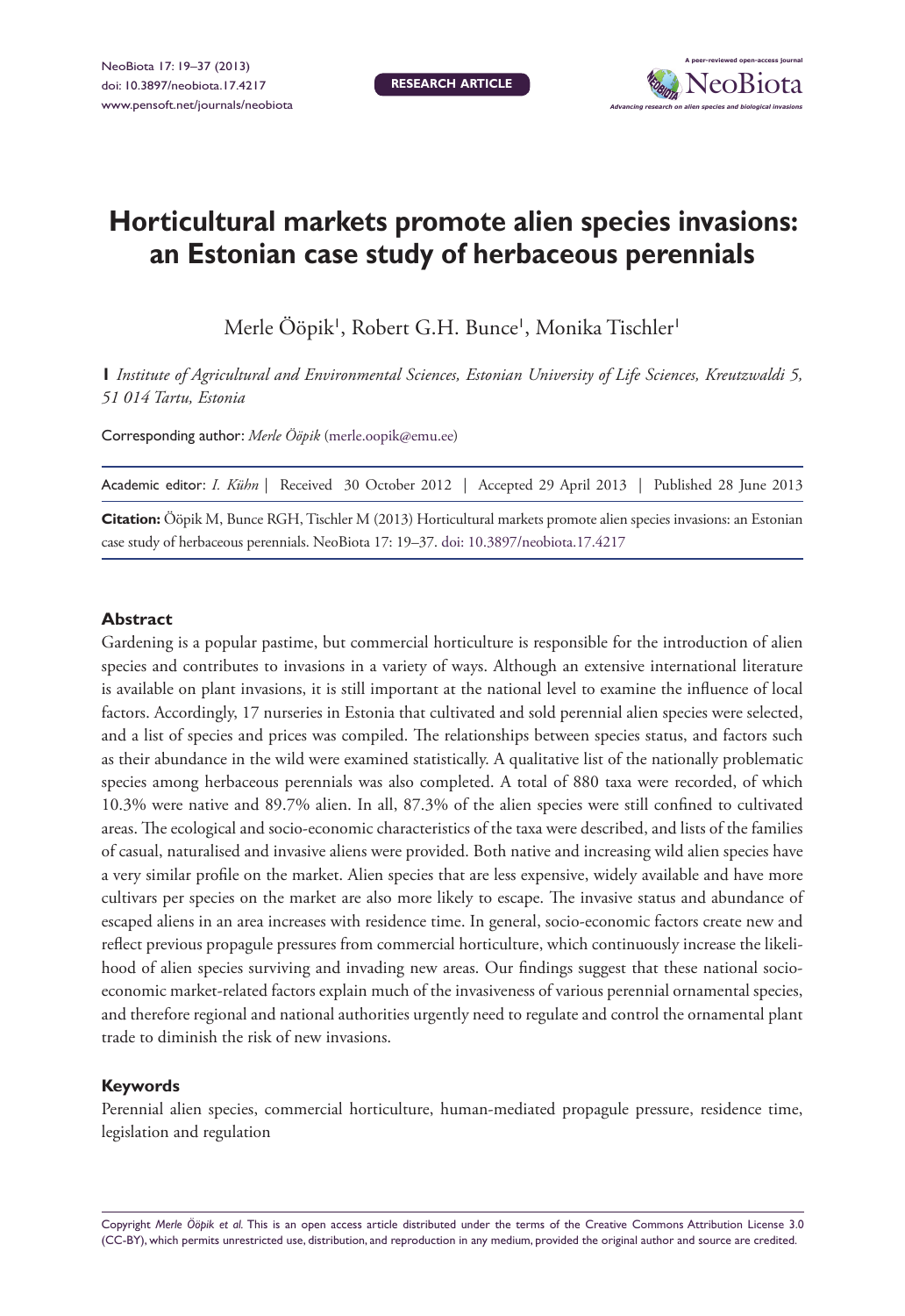**Research article**



# **Horticultural markets promote alien species invasions: an Estonian case study of herbaceous perennials**

Merle Ööpik', Robert G.H. Bunce', Monika Tischler'

**1** *Institute of Agricultural and Environmental Sciences, Estonian University of Life Sciences, Kreutzwaldi 5, 51 014 Tartu, Estonia*

Corresponding author: *Merle Ööpik* [\(merle.oopik@emu.ee](mailto:merle.oopik@emu.ee))

|  |  |                                                                                        |  |  | Academic editor: <i>I. Kühn</i>   Received 30 October 2012   Accepted 29 April 2013   Published 28 June 2013       |  |
|--|--|----------------------------------------------------------------------------------------|--|--|--------------------------------------------------------------------------------------------------------------------|--|
|  |  |                                                                                        |  |  | Citation: Ööpik M, Bunce RGH, Tischler M (2013) Horticultural markets promote alien species invasions: an Estonian |  |
|  |  | case study of herbaceous perennials. NeoBiota 17: 19-37. doi: 10.3897/neobiota.17.4217 |  |  |                                                                                                                    |  |

#### **Abstract**

Gardening is a popular pastime, but commercial horticulture is responsible for the introduction of alien species and contributes to invasions in a variety of ways. Although an extensive international literature is available on plant invasions, it is still important at the national level to examine the influence of local factors. Accordingly, 17 nurseries in Estonia that cultivated and sold perennial alien species were selected, and a list of species and prices was compiled. The relationships between species status, and factors such as their abundance in the wild were examined statistically. A qualitative list of the nationally problematic species among herbaceous perennials was also completed. A total of 880 taxa were recorded, of which 10.3% were native and 89.7% alien. In all, 87.3% of the alien species were still confined to cultivated areas. The ecological and socio-economic characteristics of the taxa were described, and lists of the families of casual, naturalised and invasive aliens were provided. Both native and increasing wild alien species have a very similar profile on the market. Alien species that are less expensive, widely available and have more cultivars per species on the market are also more likely to escape. The invasive status and abundance of escaped aliens in an area increases with residence time. In general, socio-economic factors create new and reflect previous propagule pressures from commercial horticulture, which continuously increase the likelihood of alien species surviving and invading new areas. Our findings suggest that these national socioeconomic market-related factors explain much of the invasiveness of various perennial ornamental species, and therefore regional and national authorities urgently need to regulate and control the ornamental plant trade to diminish the risk of new invasions.

#### **Keywords**

Perennial alien species, commercial horticulture, human-mediated propagule pressure, residence time, legislation and regulation

Copyright *Merle Ööpik et al.* This is an open access article distributed under the terms of the [Creative Commons Attribution License 3.0](http://creativecommons.org/licenses/by/3.0/)  [\(CC-BY\),](http://creativecommons.org/licenses/by/3.0/) which permits unrestricted use, distribution, and reproduction in any medium, provided the original author and source are credited.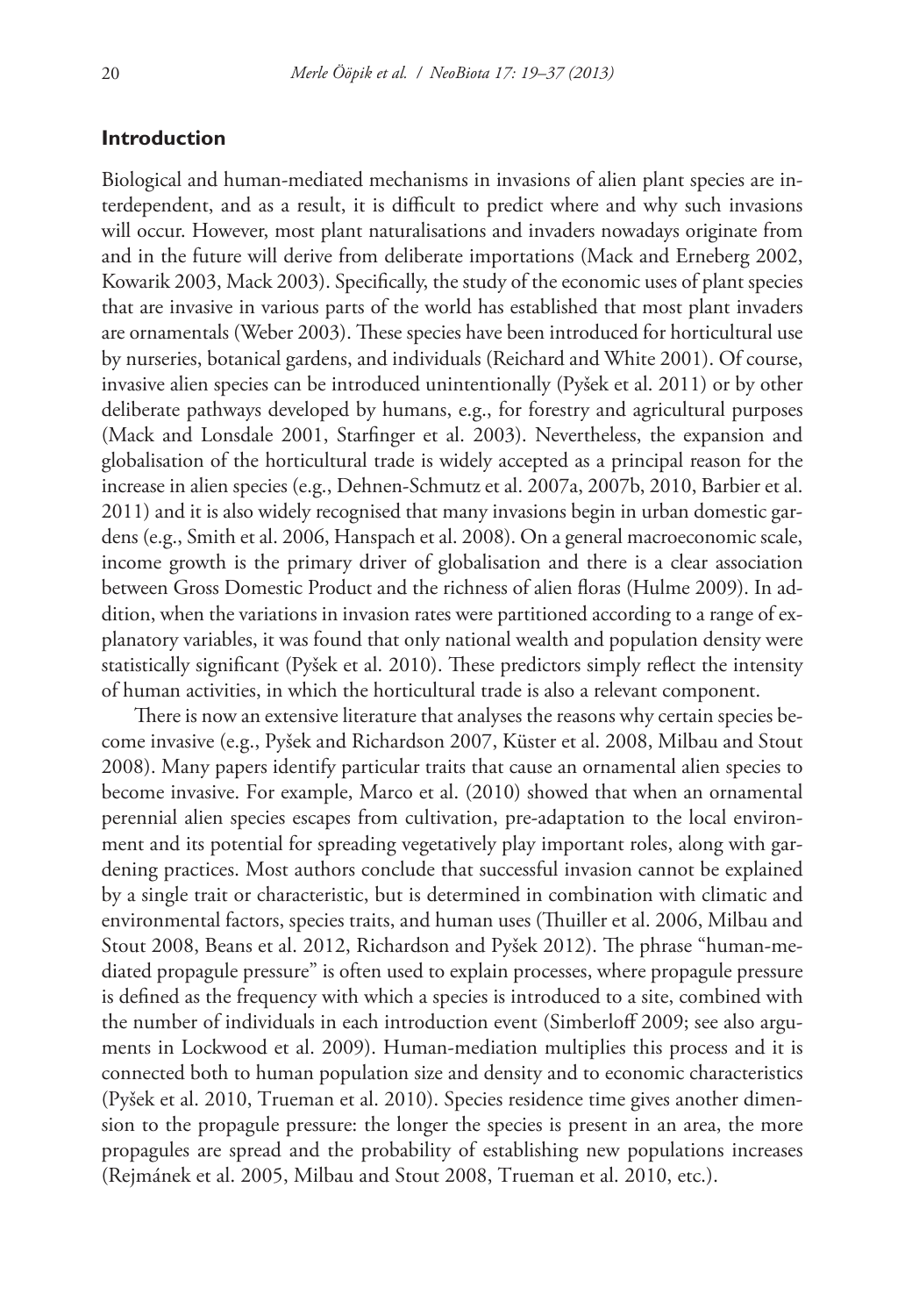## **Introduction**

Biological and human-mediated mechanisms in invasions of alien plant species are interdependent, and as a result, it is difficult to predict where and why such invasions will occur. However, most plant naturalisations and invaders nowadays originate from and in the future will derive from deliberate importations (Mack and Erneberg 2002, Kowarik 2003, Mack 2003). Specifically, the study of the economic uses of plant species that are invasive in various parts of the world has established that most plant invaders are ornamentals (Weber 2003). These species have been introduced for horticultural use by nurseries, botanical gardens, and individuals (Reichard and White 2001). Of course, invasive alien species can be introduced unintentionally (Pyšek et al. 2011) or by other deliberate pathways developed by humans, e.g., for forestry and agricultural purposes (Mack and Lonsdale 2001, Starfinger et al. 2003). Nevertheless, the expansion and globalisation of the horticultural trade is widely accepted as a principal reason for the increase in alien species (e.g., Dehnen-Schmutz et al. 2007a, 2007b, 2010, Barbier et al. 2011) and it is also widely recognised that many invasions begin in urban domestic gardens (e.g., Smith et al. 2006, Hanspach et al. 2008). On a general macroeconomic scale, income growth is the primary driver of globalisation and there is a clear association between Gross Domestic Product and the richness of alien floras (Hulme 2009). In addition, when the variations in invasion rates were partitioned according to a range of explanatory variables, it was found that only national wealth and population density were statistically significant (Pyšek et al. 2010). These predictors simply reflect the intensity of human activities, in which the horticultural trade is also a relevant component.

There is now an extensive literature that analyses the reasons why certain species become invasive (e.g., Pyšek and Richardson 2007, Küster et al. 2008, Milbau and Stout 2008). Many papers identify particular traits that cause an ornamental alien species to become invasive. For example, Marco et al. (2010) showed that when an ornamental perennial alien species escapes from cultivation, pre-adaptation to the local environment and its potential for spreading vegetatively play important roles, along with gardening practices. Most authors conclude that successful invasion cannot be explained by a single trait or characteristic, but is determined in combination with climatic and environmental factors, species traits, and human uses (Thuiller et al. 2006, Milbau and Stout 2008, Beans et al. 2012, Richardson and Pyšek 2012). The phrase "human-mediated propagule pressure" is often used to explain processes, where propagule pressure is defined as the frequency with which a species is introduced to a site, combined with the number of individuals in each introduction event (Simberloff 2009; see also arguments in Lockwood et al. 2009). Human-mediation multiplies this process and it is connected both to human population size and density and to economic characteristics (Pyšek et al. 2010, Trueman et al. 2010). Species residence time gives another dimension to the propagule pressure: the longer the species is present in an area, the more propagules are spread and the probability of establishing new populations increases (Rejmánek et al. 2005, Milbau and Stout 2008, Trueman et al. 2010, etc.).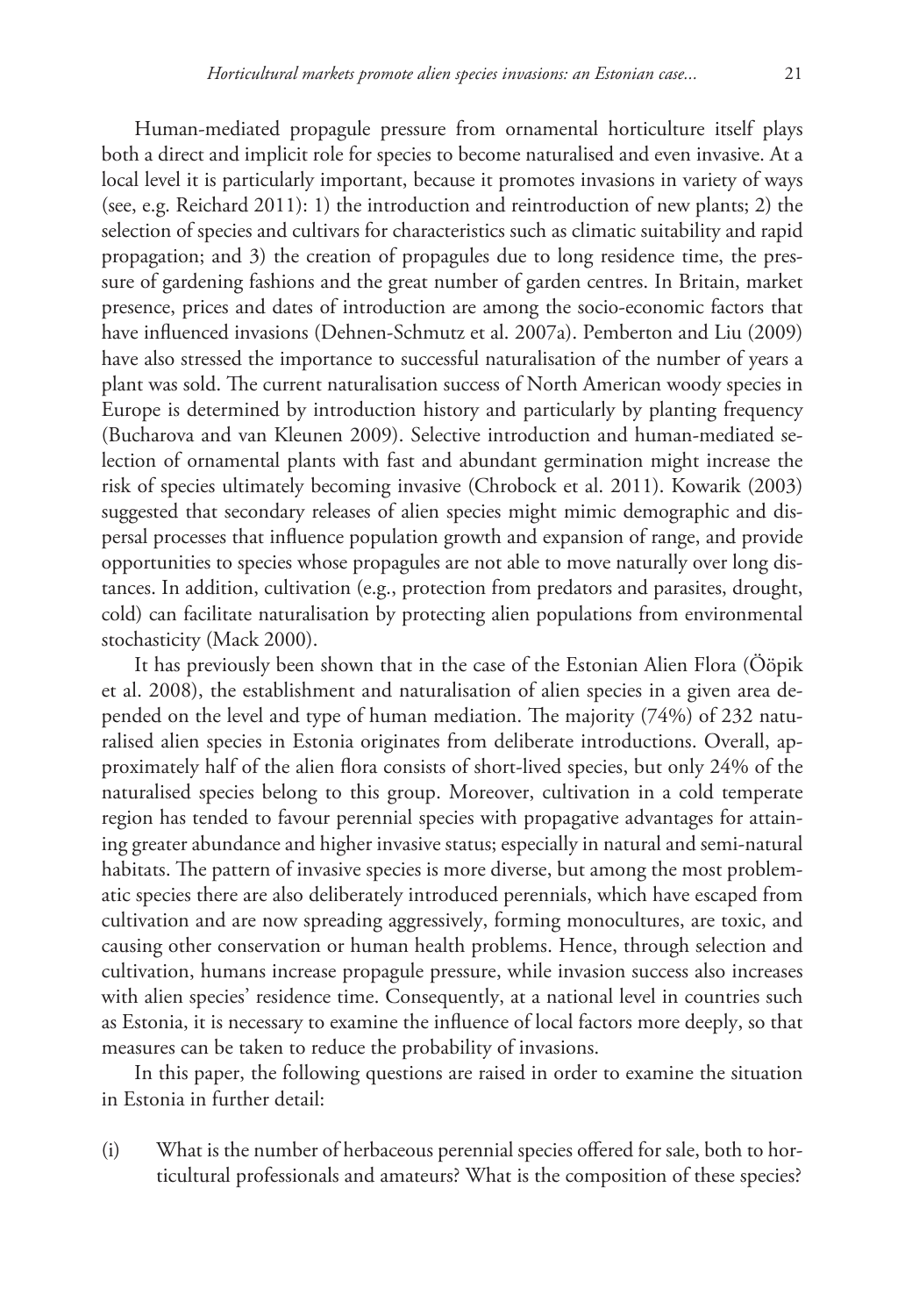Human-mediated propagule pressure from ornamental horticulture itself plays both a direct and implicit role for species to become naturalised and even invasive. At a local level it is particularly important, because it promotes invasions in variety of ways (see, e.g. Reichard 2011): 1) the introduction and reintroduction of new plants; 2) the selection of species and cultivars for characteristics such as climatic suitability and rapid propagation; and 3) the creation of propagules due to long residence time, the pressure of gardening fashions and the great number of garden centres. In Britain, market presence, prices and dates of introduction are among the socio-economic factors that have influenced invasions (Dehnen-Schmutz et al. 2007a). Pemberton and Liu (2009) have also stressed the importance to successful naturalisation of the number of years a plant was sold. The current naturalisation success of North American woody species in Europe is determined by introduction history and particularly by planting frequency (Bucharova and van Kleunen 2009). Selective introduction and human-mediated selection of ornamental plants with fast and abundant germination might increase the risk of species ultimately becoming invasive (Chrobock et al. 2011). Kowarik (2003) suggested that secondary releases of alien species might mimic demographic and dispersal processes that influence population growth and expansion of range, and provide opportunities to species whose propagules are not able to move naturally over long distances. In addition, cultivation (e.g., protection from predators and parasites, drought, cold) can facilitate naturalisation by protecting alien populations from environmental stochasticity (Mack 2000).

It has previously been shown that in the case of the Estonian Alien Flora (Ööpik et al. 2008), the establishment and naturalisation of alien species in a given area depended on the level and type of human mediation. The majority (74%) of 232 naturalised alien species in Estonia originates from deliberate introductions. Overall, approximately half of the alien flora consists of short-lived species, but only 24% of the naturalised species belong to this group. Moreover, cultivation in a cold temperate region has tended to favour perennial species with propagative advantages for attaining greater abundance and higher invasive status; especially in natural and semi-natural habitats. The pattern of invasive species is more diverse, but among the most problematic species there are also deliberately introduced perennials, which have escaped from cultivation and are now spreading aggressively, forming monocultures, are toxic, and causing other conservation or human health problems. Hence, through selection and cultivation, humans increase propagule pressure, while invasion success also increases with alien species' residence time. Consequently, at a national level in countries such as Estonia, it is necessary to examine the influence of local factors more deeply, so that measures can be taken to reduce the probability of invasions.

In this paper, the following questions are raised in order to examine the situation in Estonia in further detail:

(i) What is the number of herbaceous perennial species offered for sale, both to horticultural professionals and amateurs? What is the composition of these species?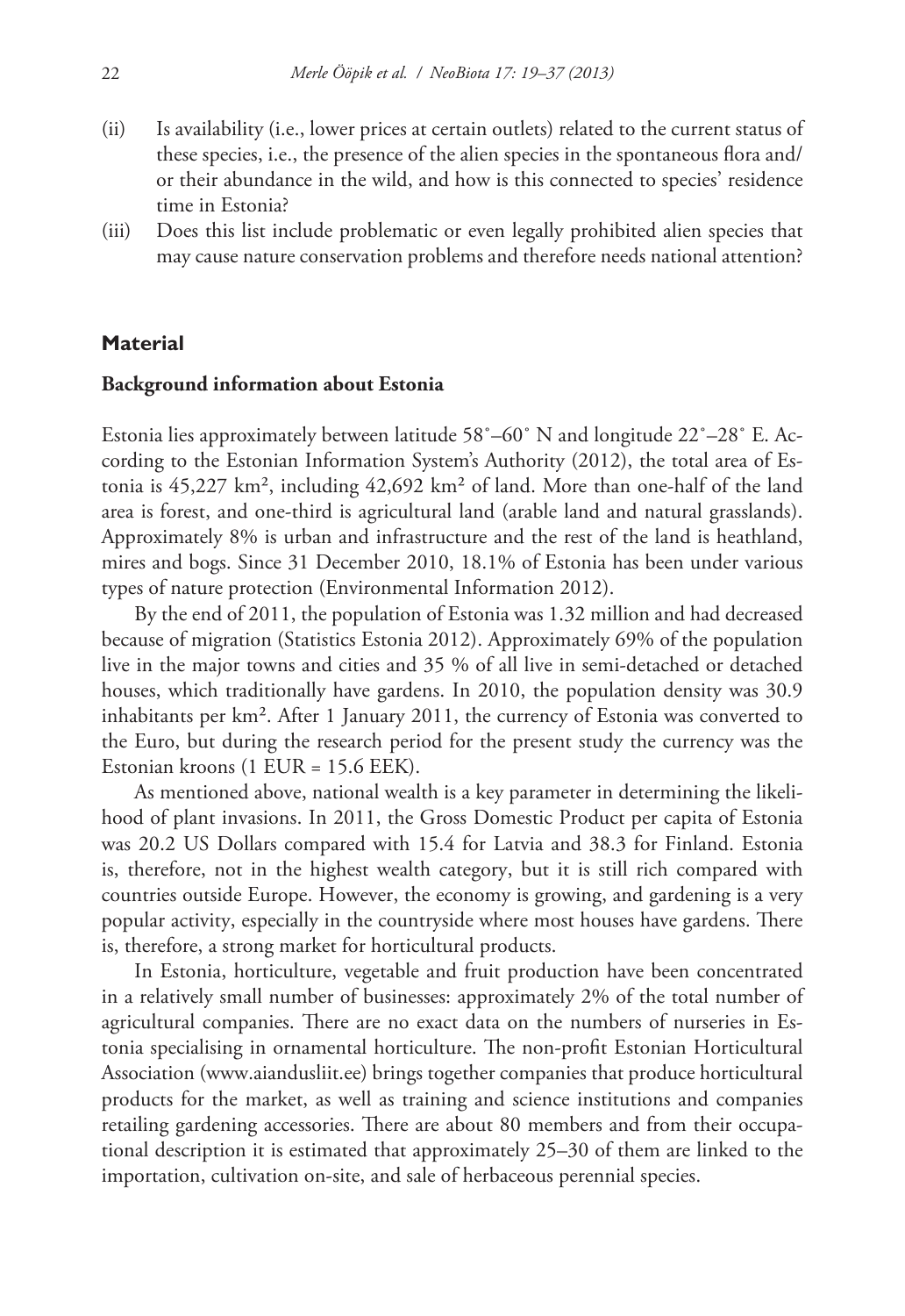- (ii) Is availability (i.e., lower prices at certain outlets) related to the current status of these species, i.e., the presence of the alien species in the spontaneous flora and/ or their abundance in the wild, and how is this connected to species' residence time in Estonia?
- (iii) Does this list include problematic or even legally prohibited alien species that may cause nature conservation problems and therefore needs national attention?

# **Material**

#### **Background information about Estonia**

Estonia lies approximately between latitude 58˚–60˚ N and longitude 22˚–28˚ E. According to the Estonian Information System's Authority (2012), the total area of Estonia is 45,227 km², including 42,692 km² of land. More than one-half of the land area is forest, and one-third is agricultural land (arable land and natural grasslands). Approximately 8% is urban and infrastructure and the rest of the land is heathland, mires and bogs. Since 31 December 2010, 18.1% of Estonia has been under various types of nature protection (Environmental Information 2012).

By the end of 2011, the population of Estonia was 1.32 million and had decreased because of migration (Statistics Estonia 2012). Approximately 69% of the population live in the major towns and cities and 35 % of all live in semi-detached or detached houses, which traditionally have gardens. In 2010, the population density was 30.9 inhabitants per km². After 1 January 2011, the currency of Estonia was converted to the Euro, but during the research period for the present study the currency was the Estonian kroons (1 EUR = 15.6 EEK).

As mentioned above, national wealth is a key parameter in determining the likelihood of plant invasions. In 2011, the Gross Domestic Product per capita of Estonia was 20.2 US Dollars compared with 15.4 for Latvia and 38.3 for Finland. Estonia is, therefore, not in the highest wealth category, but it is still rich compared with countries outside Europe. However, the economy is growing, and gardening is a very popular activity, especially in the countryside where most houses have gardens. There is, therefore, a strong market for horticultural products.

In Estonia, horticulture, vegetable and fruit production have been concentrated in a relatively small number of businesses: approximately 2% of the total number of agricultural companies. There are no exact data on the numbers of nurseries in Estonia specialising in ornamental horticulture. The non-profit Estonian Horticultural Association ([www.aiandusliit.ee\)](www.aiandusliit.ee) brings together companies that produce horticultural products for the market, as well as training and science institutions and companies retailing gardening accessories. There are about 80 members and from their occupational description it is estimated that approximately 25–30 of them are linked to the importation, cultivation on-site, and sale of herbaceous perennial species.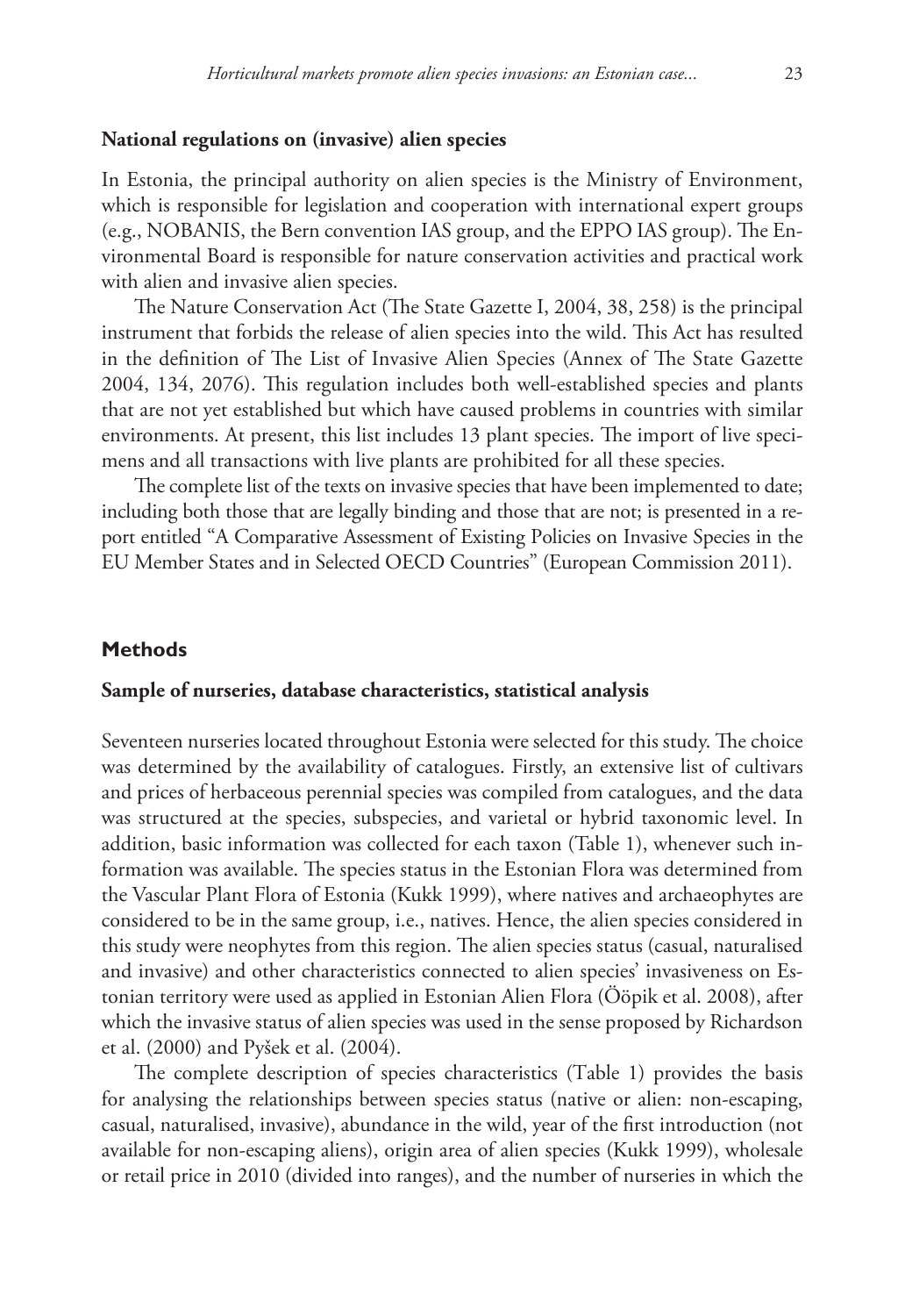#### **National regulations on (invasive) alien species**

In Estonia, the principal authority on alien species is the Ministry of Environment, which is responsible for legislation and cooperation with international expert groups (e.g., NOBANIS, the Bern convention IAS group, and the EPPO IAS group). The Environmental Board is responsible for nature conservation activities and practical work with alien and invasive alien species.

The Nature Conservation Act (The State Gazette I, 2004, 38, 258) is the principal instrument that forbids the release of alien species into the wild. This Act has resulted in the definition of The List of Invasive Alien Species (Annex of The State Gazette 2004, 134, 2076). This regulation includes both well-established species and plants that are not yet established but which have caused problems in countries with similar environments. At present, this list includes 13 plant species. The import of live specimens and all transactions with live plants are prohibited for all these species.

The complete list of the texts on invasive species that have been implemented to date; including both those that are legally binding and those that are not; is presented in a report entitled "A Comparative Assessment of Existing Policies on Invasive Species in the EU Member States and in Selected OECD Countries" (European Commission 2011).

#### **Methods**

#### **Sample of nurseries, database characteristics, statistical analysis**

Seventeen nurseries located throughout Estonia were selected for this study. The choice was determined by the availability of catalogues. Firstly, an extensive list of cultivars and prices of herbaceous perennial species was compiled from catalogues, and the data was structured at the species, subspecies, and varietal or hybrid taxonomic level. In addition, basic information was collected for each taxon (Table 1), whenever such information was available. The species status in the Estonian Flora was determined from the Vascular Plant Flora of Estonia (Kukk 1999), where natives and archaeophytes are considered to be in the same group, i.e., natives. Hence, the alien species considered in this study were neophytes from this region. The alien species status (casual, naturalised and invasive) and other characteristics connected to alien species' invasiveness on Estonian territory were used as applied in Estonian Alien Flora (Ööpik et al. 2008), after which the invasive status of alien species was used in the sense proposed by Richardson et al. (2000) and Pyšek et al. (2004).

The complete description of species characteristics (Table 1) provides the basis for analysing the relationships between species status (native or alien: non-escaping, casual, naturalised, invasive), abundance in the wild, year of the first introduction (not available for non-escaping aliens), origin area of alien species (Kukk 1999), wholesale or retail price in 2010 (divided into ranges), and the number of nurseries in which the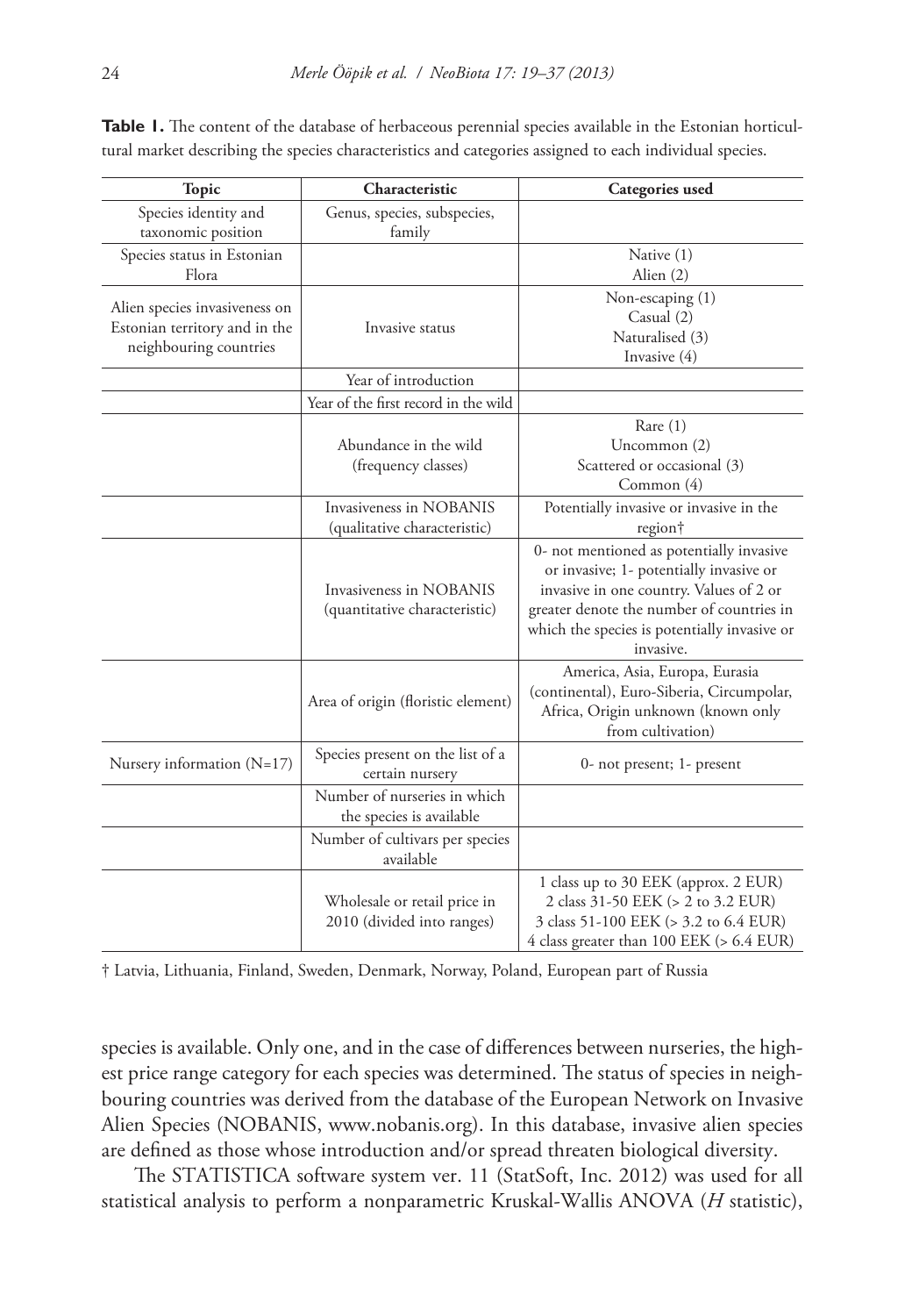| <b>Topic</b>                  | Characteristic                               | Categories used                                           |  |  |
|-------------------------------|----------------------------------------------|-----------------------------------------------------------|--|--|
| Species identity and          | Genus, species, subspecies,                  |                                                           |  |  |
| taxonomic position            | family                                       |                                                           |  |  |
| Species status in Estonian    |                                              | Native (1)                                                |  |  |
| Flora                         |                                              | Alien (2)                                                 |  |  |
| Alien species invasiveness on |                                              | Non-escaping (1)                                          |  |  |
| Estonian territory and in the | Invasive status                              | Casual $(2)$                                              |  |  |
| neighbouring countries        |                                              | Naturalised (3)                                           |  |  |
|                               |                                              | Invasive (4)                                              |  |  |
|                               | Year of introduction                         |                                                           |  |  |
|                               | Year of the first record in the wild         |                                                           |  |  |
|                               |                                              | Rare $(1)$                                                |  |  |
|                               | Abundance in the wild                        | Uncommon (2)                                              |  |  |
|                               | (frequency classes)                          | Scattered or occasional (3)                               |  |  |
|                               |                                              | Common (4)                                                |  |  |
|                               | Invasiveness in NOBANIS                      | Potentially invasive or invasive in the                   |  |  |
|                               | (qualitative characteristic)                 | region†                                                   |  |  |
|                               |                                              | 0- not mentioned as potentially invasive                  |  |  |
|                               |                                              | or invasive; 1- potentially invasive or                   |  |  |
|                               | Invasiveness in NOBANIS                      | invasive in one country. Values of 2 or                   |  |  |
|                               | (quantitative characteristic)                | greater denote the number of countries in                 |  |  |
|                               |                                              | which the species is potentially invasive or<br>invasive. |  |  |
|                               |                                              | America, Asia, Europa, Eurasia                            |  |  |
|                               |                                              | (continental), Euro-Siberia, Circumpolar,                 |  |  |
|                               | Area of origin (floristic element)           | Africa, Origin unknown (known only                        |  |  |
|                               |                                              | from cultivation)                                         |  |  |
|                               | Species present on the list of a             |                                                           |  |  |
| Nursery information $(N=17)$  | certain nursery                              | 0- not present; 1- present                                |  |  |
|                               | Number of nurseries in which                 |                                                           |  |  |
|                               | the species is available                     |                                                           |  |  |
|                               | Number of cultivars per species<br>available |                                                           |  |  |
|                               |                                              | 1 class up to 30 EEK (approx. 2 EUR)                      |  |  |
|                               | Wholesale or retail price in                 | 2 class 31-50 EEK (> 2 to 3.2 EUR)                        |  |  |
|                               | 2010 (divided into ranges)                   | 3 class 51-100 EEK (> 3.2 to 6.4 EUR)                     |  |  |
|                               |                                              | 4 class greater than 100 EEK (> 6.4 EUR)                  |  |  |

**Table 1.** The content of the database of herbaceous perennial species available in the Estonian horticultural market describing the species characteristics and categories assigned to each individual species.

† Latvia, Lithuania, Finland, Sweden, Denmark, Norway, Poland, European part of Russia

species is available. Only one, and in the case of differences between nurseries, the highest price range category for each species was determined. The status of species in neighbouring countries was derived from the database of the European Network on Invasive Alien Species (NOBANIS, <www.nobanis.org>). In this database, invasive alien species are defined as those whose introduction and/or spread threaten biological diversity.

The STATISTICA software system ver. 11 (StatSoft, Inc. 2012) was used for all statistical analysis to perform a nonparametric Kruskal-Wallis ANOVA (*H* statistic),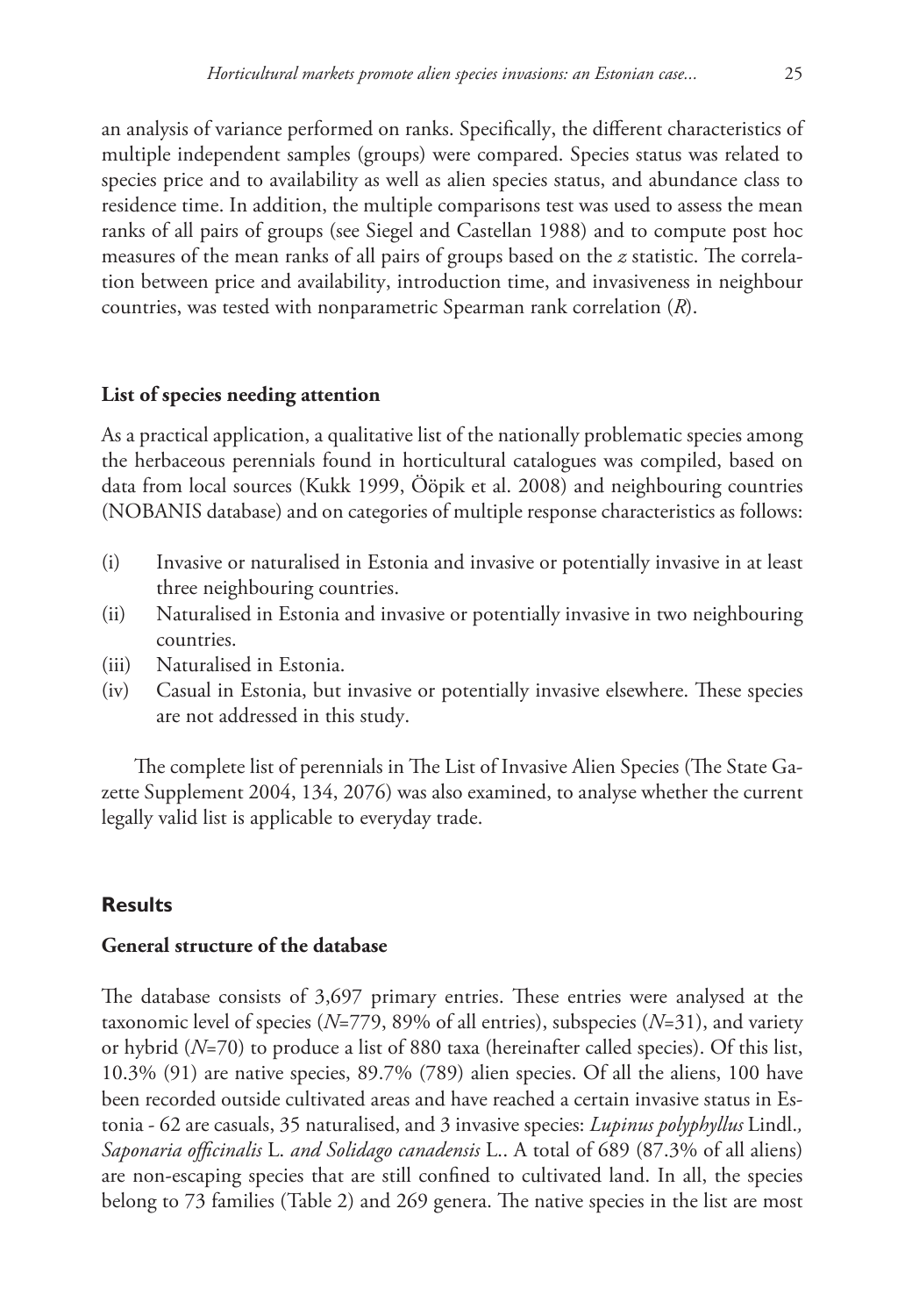an analysis of variance performed on ranks. Specifically, the different characteristics of multiple independent samples (groups) were compared. Species status was related to species price and to availability as well as alien species status, and abundance class to residence time. In addition, the multiple comparisons test was used to assess the mean ranks of all pairs of groups (see Siegel and Castellan 1988) and to compute post hoc measures of the mean ranks of all pairs of groups based on the *z* statistic. The correlation between price and availability, introduction time, and invasiveness in neighbour countries, was tested with nonparametric Spearman rank correlation (*R*).

#### **List of species needing attention**

As a practical application, a qualitative list of the nationally problematic species among the herbaceous perennials found in horticultural catalogues was compiled, based on data from local sources (Kukk 1999, Ööpik et al. 2008) and neighbouring countries (NOBANIS database) and on categories of multiple response characteristics as follows:

- (i) Invasive or naturalised in Estonia and invasive or potentially invasive in at least three neighbouring countries.
- (ii) Naturalised in Estonia and invasive or potentially invasive in two neighbouring countries.
- (iii) Naturalised in Estonia.
- (iv) Casual in Estonia, but invasive or potentially invasive elsewhere. These species are not addressed in this study.

The complete list of perennials in The List of Invasive Alien Species (The State Gazette Supplement 2004, 134, 2076) was also examined, to analyse whether the current legally valid list is applicable to everyday trade.

## **Results**

# **General structure of the database**

The database consists of 3,697 primary entries. These entries were analysed at the taxonomic level of species (*N*=779, 89% of all entries), subspecies (*N*=31), and variety or hybrid (*N*=70) to produce a list of 880 taxa (hereinafter called species). Of this list, 10.3% (91) are native species, 89.7% (789) alien species. Of all the aliens, 100 have been recorded outside cultivated areas and have reached a certain invasive status in Estonia - 62 are casuals, 35 naturalised, and 3 invasive species: *Lupinus polyphyllus* Lindl.*, Saponaria officinalis* L. *and Solidago canadensis* L.. A total of 689 (87.3% of all aliens) are non-escaping species that are still confined to cultivated land. In all, the species belong to 73 families (Table 2) and 269 genera. The native species in the list are most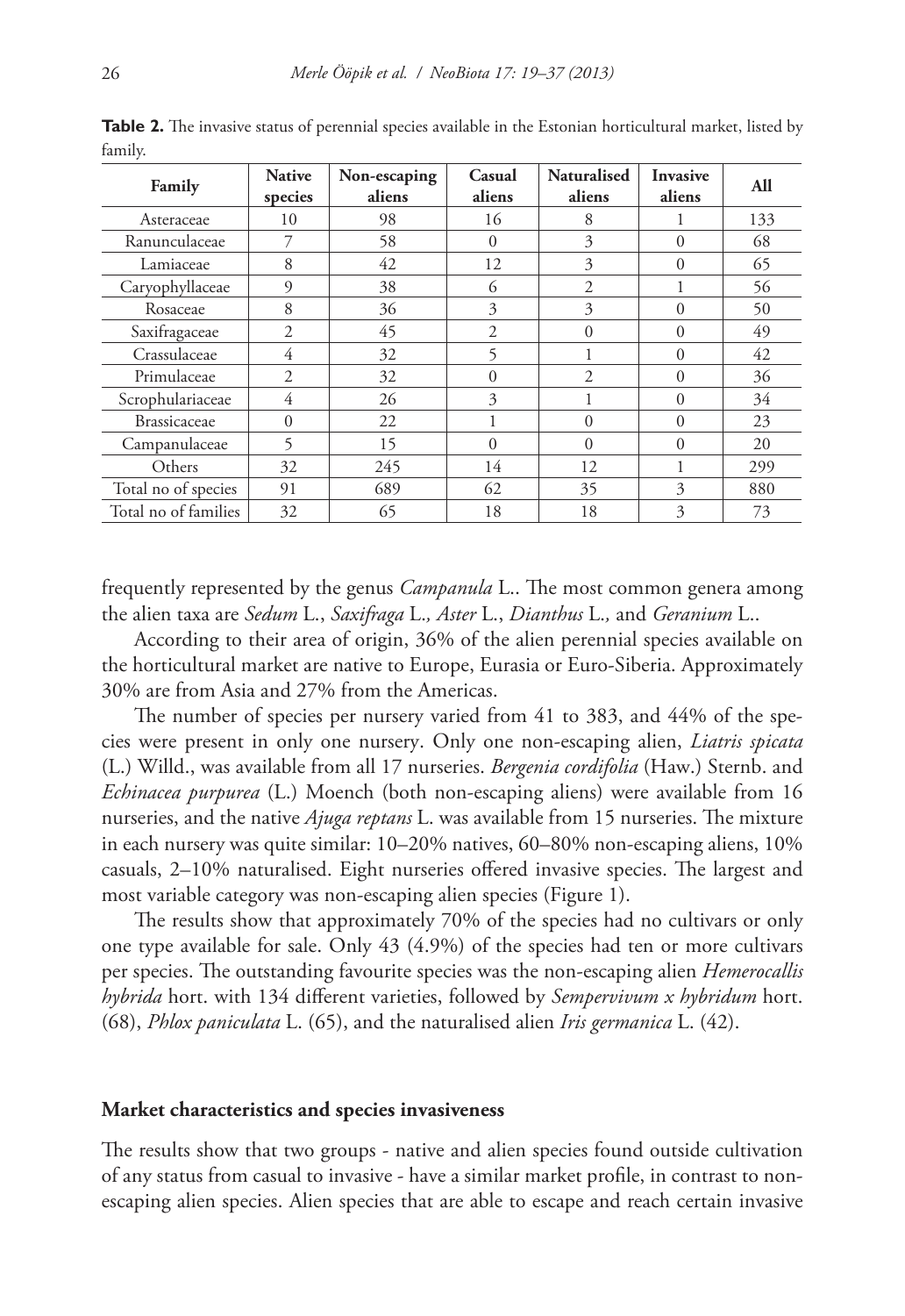| Family               | <b>Native</b><br>species | Non-escaping<br>aliens | Casual<br>aliens | <b>Naturalised</b><br>aliens | <b>Invasive</b><br>aliens | All |
|----------------------|--------------------------|------------------------|------------------|------------------------------|---------------------------|-----|
| Asteraceae           | 10                       | 98                     | 16               | 8                            |                           | 133 |
| Ranunculaceae        | 7                        | 58                     | $\Omega$         | 3                            | $\Omega$                  | 68  |
| Lamiaceae            | 8                        | 42                     | 12               | 3                            | $\Omega$                  | 65  |
| Caryophyllaceae      | 9                        | 38                     | 6                | $\overline{c}$               |                           | 56  |
| Rosaceae             | 8                        | 36                     | 3                | 3                            | $\Omega$                  | 50  |
| Saxifragaceae        | $\overline{c}$           | 45                     | $\overline{2}$   | $\theta$                     | $\Omega$                  | 49  |
| Crassulaceae         | 4                        | 32                     | 5                | 1                            | $\Omega$                  | 42  |
| Primulaceae          | $\overline{c}$           | 32                     | $\Omega$         | $\overline{c}$               | $\Omega$                  | 36  |
| Scrophulariaceae     | 4                        | 26                     | 3                | 1                            | $\Omega$                  | 34  |
| <b>Brassicaceae</b>  | $\theta$                 | 22                     |                  | $\theta$                     | $\Omega$                  | 23  |
| Campanulaceae        | 5                        | 15                     | $\Omega$         | $\Omega$                     | $\Omega$                  | 20  |
| Others               | 32                       | 245                    | 14               | 12                           | 1                         | 299 |
| Total no of species  | 91                       | 689                    | 62               | 35                           | 3                         | 880 |
| Total no of families | 32                       | 65                     | 18               | 18                           | 3                         | 73  |

**Table 2.** The invasive status of perennial species available in the Estonian horticultural market, listed by family.

frequently represented by the genus *Campanula* L.. The most common genera among the alien taxa are *Sedum* L., *Saxifraga* L.*, Aster* L., *Dianthus* L.*,* and *Geranium* L..

According to their area of origin, 36% of the alien perennial species available on the horticultural market are native to Europe, Eurasia or Euro-Siberia. Approximately 30% are from Asia and 27% from the Americas.

The number of species per nursery varied from 41 to 383, and 44% of the species were present in only one nursery. Only one non-escaping alien, *Liatris spicata*  (L.) Willd., was available from all 17 nurseries. *Bergenia cordifolia* (Haw.) Sternb. and *Echinacea purpurea* (L.) Moench (both non-escaping aliens) were available from 16 nurseries, and the native *Ajuga reptans* L. was available from 15 nurseries. The mixture in each nursery was quite similar: 10–20% natives, 60–80% non-escaping aliens, 10% casuals, 2–10% naturalised. Eight nurseries offered invasive species. The largest and most variable category was non-escaping alien species (Figure 1).

The results show that approximately 70% of the species had no cultivars or only one type available for sale. Only 43 (4.9%) of the species had ten or more cultivars per species. The outstanding favourite species was the non-escaping alien *Hemerocallis hybrida* hort. with 134 different varieties, followed by *Sempervivum x hybridum* hort. (68), *Phlox paniculata* L. (65), and the naturalised alien *Iris germanica* L. (42).

#### **Market characteristics and species invasiveness**

The results show that two groups - native and alien species found outside cultivation of any status from casual to invasive - have a similar market profile, in contrast to nonescaping alien species. Alien species that are able to escape and reach certain invasive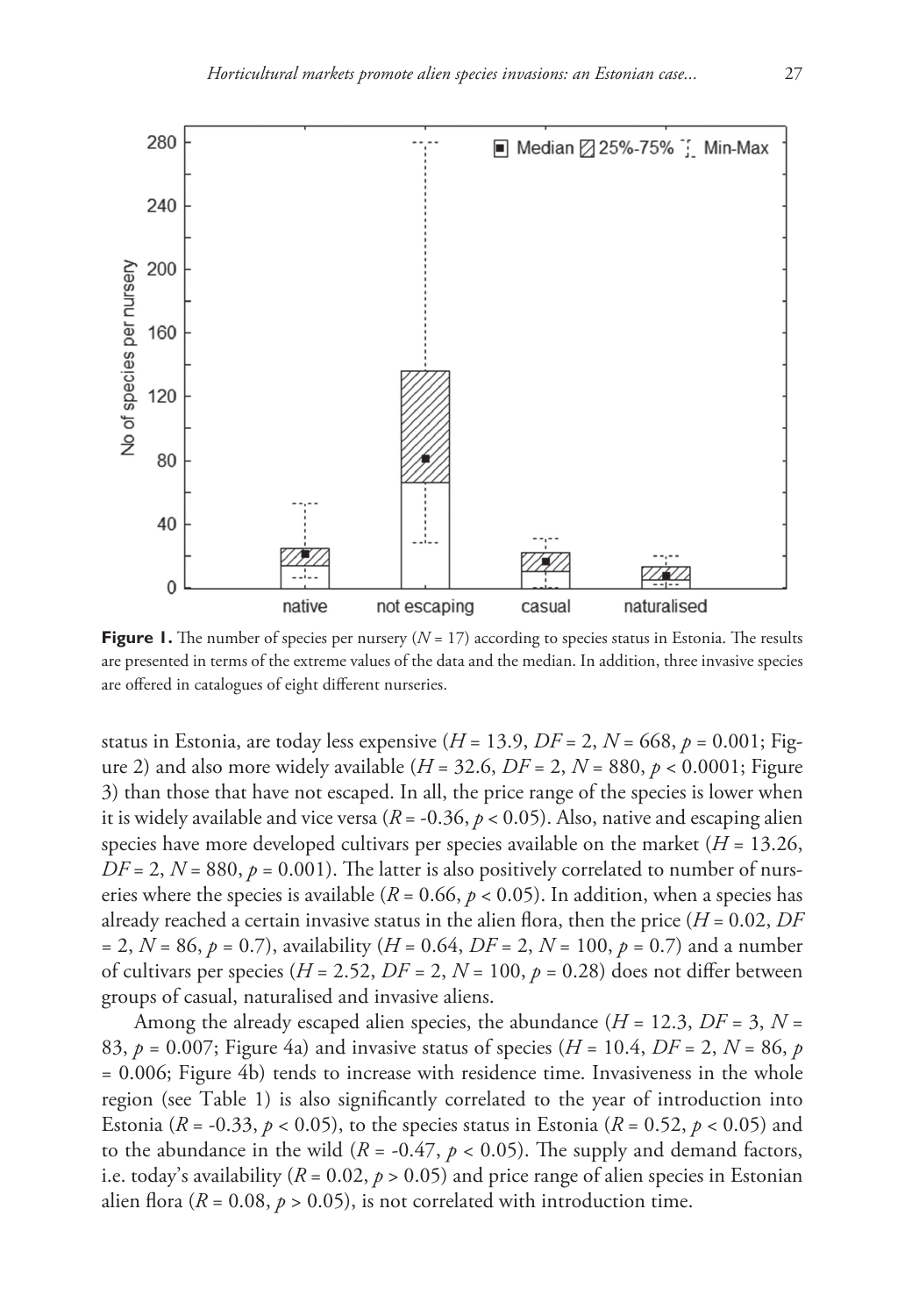

**Figure 1.** The number of species per nursery  $(N = 17)$  according to species status in Estonia. The results are presented in terms of the extreme values of the data and the median. In addition, three invasive species are offered in catalogues of eight different nurseries.

status in Estonia, are today less expensive  $(H = 13.9, DF = 2, N = 668, p = 0.001; Fig$ ure 2) and also more widely available ( $H = 32.6$ ,  $DF = 2$ ,  $N = 880$ ,  $p < 0.0001$ ; Figure 3) than those that have not escaped. In all, the price range of the species is lower when it is widely available and vice versa ( $R = -0.36$ ,  $p < 0.05$ ). Also, native and escaping alien species have more developed cultivars per species available on the market  $(H = 13.26,$  $DF = 2$ ,  $N = 880$ ,  $p = 0.001$ ). The latter is also positively correlated to number of nurseries where the species is available ( $R = 0.66$ ,  $p < 0.05$ ). In addition, when a species has already reached a certain invasive status in the alien flora, then the price  $(H = 0.02, DF)$ = 2, *N* = 86, *p* = 0.7), availability (*H* = 0.64, *DF* = 2, *N* = 100, *p* = 0.7) and a number of cultivars per species ( $H = 2.52$ ,  $DF = 2$ ,  $N = 100$ ,  $p = 0.28$ ) does not differ between groups of casual, naturalised and invasive aliens.

Among the already escaped alien species, the abundance  $(H = 12.3, DF = 3, N = 12.3)$ 83,  $p = 0.007$ ; Figure 4a) and invasive status of species ( $H = 10.4$ ,  $DF = 2$ ,  $N = 86$ ,  $p$ = 0.006; Figure 4b) tends to increase with residence time. Invasiveness in the whole region (see Table 1) is also significantly correlated to the year of introduction into Estonia ( $R = -0.33$ ,  $p < 0.05$ ), to the species status in Estonia ( $R = 0.52$ ,  $p < 0.05$ ) and to the abundance in the wild  $(R = -0.47, p < 0.05)$ . The supply and demand factors, i.e. today's availability ( $R = 0.02$ ,  $p > 0.05$ ) and price range of alien species in Estonian alien flora ( $R = 0.08$ ,  $p > 0.05$ ), is not correlated with introduction time.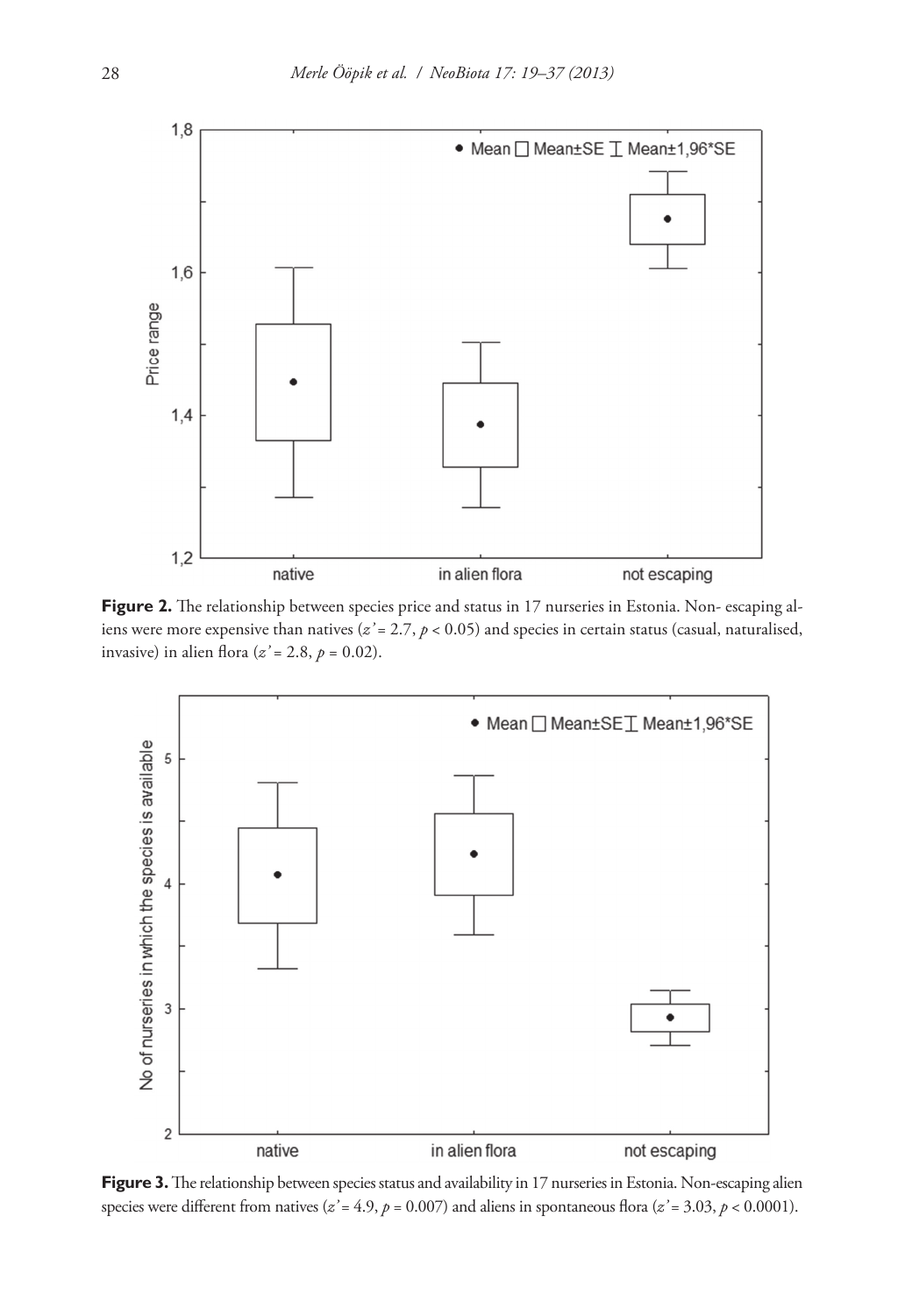

Figure 2. The relationship between species price and status in 17 nurseries in Estonia. Non- escaping aliens were more expensive than natives (*z*<sup>2</sup> = 2.7, *p* < 0.05) and species in certain status (casual, naturalised, invasive) in alien flora ( $z' = 2.8$ ,  $p = 0.02$ ).



Figure 3. The relationship between species status and availability in 17 nurseries in Estonia. Non-escaping alien species were different from natives ( $z' = 4.9$ ,  $p = 0.007$ ) and aliens in spontaneous flora ( $z' = 3.03$ ,  $p < 0.0001$ ).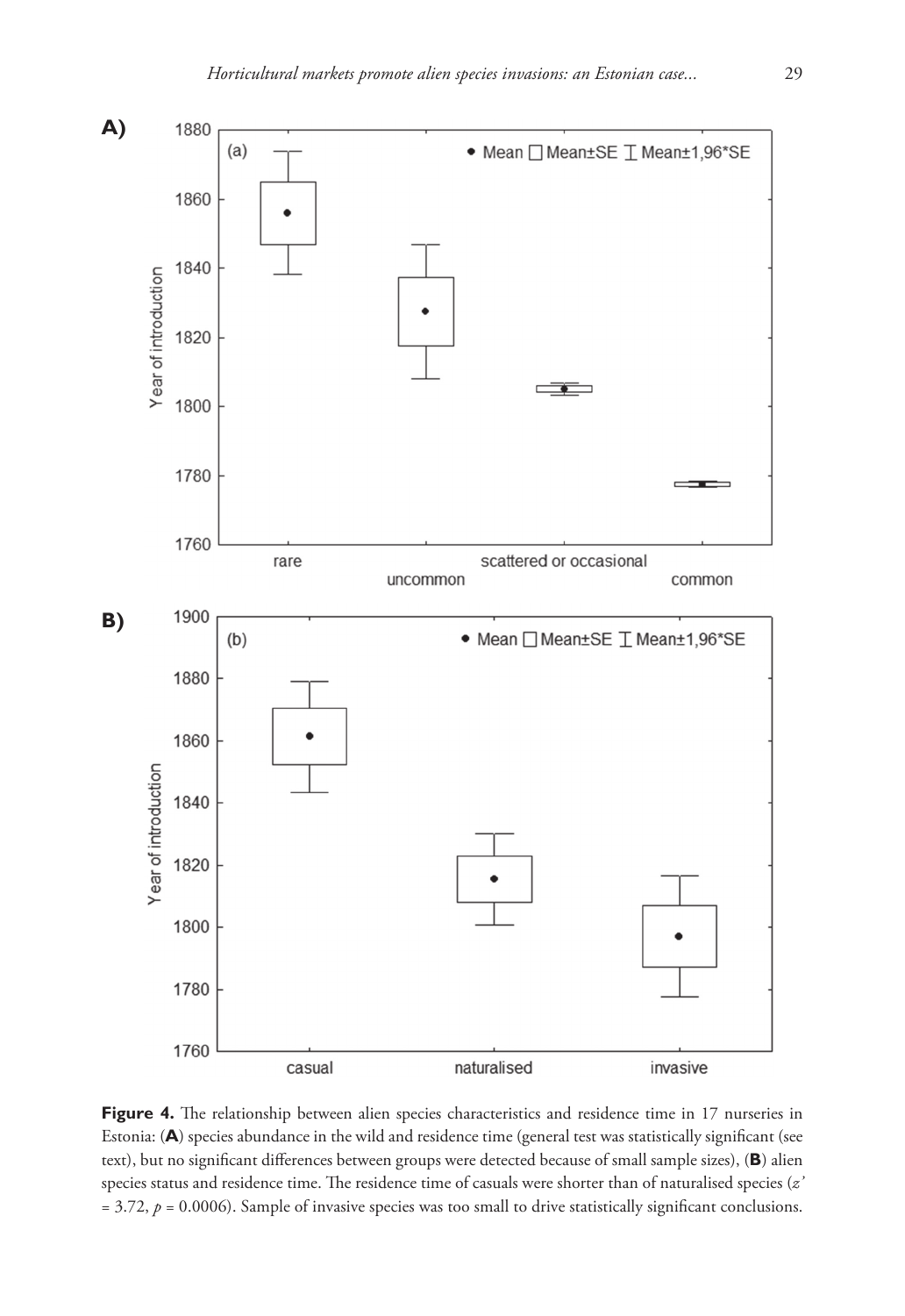

Figure 4. The relationship between alien species characteristics and residence time in 17 nurseries in Estonia: (**A**) species abundance in the wild and residence time (general test was statistically significant (see text), but no significant differences between groups were detected because of small sample sizes), (**B**) alien species status and residence time. The residence time of casuals were shorter than of naturalised species (*z'*  $= 3.72$ ,  $p = 0.0006$ ). Sample of invasive species was too small to drive statistically significant conclusions.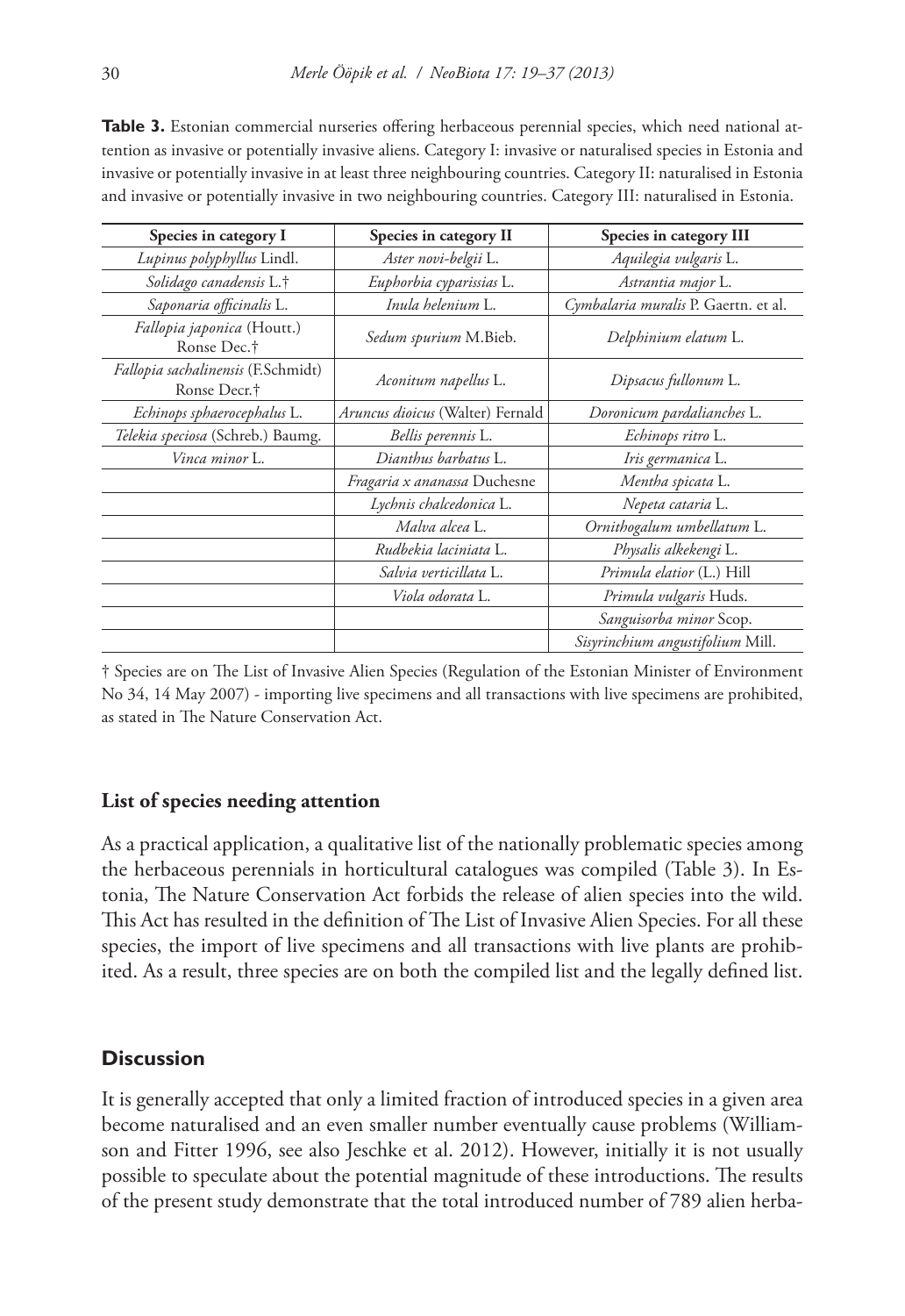**Table 3.** Estonian commercial nurseries offering herbaceous perennial species, which need national attention as invasive or potentially invasive aliens. Category I: invasive or naturalised species in Estonia and invasive or potentially invasive in at least three neighbouring countries. Category II: naturalised in Estonia and invasive or potentially invasive in two neighbouring countries. Category III: naturalised in Estonia.

| Species in category I                                 | Species in category II              | Species in category III              |  |  |
|-------------------------------------------------------|-------------------------------------|--------------------------------------|--|--|
| Lupinus polyphyllus Lindl.                            | Aster novi-belgii L.                | Aquilegia vulgaris L.                |  |  |
| Solidago canadensis L.†                               | Euphorbia cyparissias L.            | Astrantia major L.                   |  |  |
| Saponaria officinalis L.                              | Inula helenium L.                   | Cymbalaria muralis P. Gaertn. et al. |  |  |
| Fallopia japonica (Houtt.)<br>Ronse Dec. <sup>†</sup> | Sedum spurium M.Bieb.               | Delphinium elatum L.                 |  |  |
| Fallopia sachalinensis (F.Schmidt)<br>Ronse Decr.†    | Aconitum napellus L.                | Dipsacus fullonum L.                 |  |  |
| Echinops sphaerocephalus L.                           | Aruncus dioicus (Walter) Fernald    | Doronicum pardalianches L.           |  |  |
| Telekia speciosa (Schreb.) Baumg.                     | Bellis perennis L.                  | Echinops ritro L.                    |  |  |
| Vinca minor L.                                        | Dianthus barbatus L.                | Iris germanica L.                    |  |  |
|                                                       | <i>Fragaria x ananassa</i> Duchesne | Mentha spicata L.                    |  |  |
|                                                       | Lychnis chalcedonica L.             | Nepeta cataria L.                    |  |  |
|                                                       | Malva alcea L.                      | Ornithogalum umbellatum L.           |  |  |
|                                                       | Rudbekia laciniata L.               | Physalis alkekengi L.                |  |  |
|                                                       | Salvia verticillata L.              | Primula elatior (L.) Hill            |  |  |
|                                                       | Viola odorata L.                    | Primula vulgaris Huds.               |  |  |
|                                                       |                                     | Sanguisorba minor Scop.              |  |  |
|                                                       |                                     | Sisyrinchium angustifolium Mill.     |  |  |

† Species are on The List of Invasive Alien Species (Regulation of the Estonian Minister of Environment No 34, 14 May 2007) - importing live specimens and all transactions with live specimens are prohibited, as stated in The Nature Conservation Act.

#### **List of species needing attention**

As a practical application, a qualitative list of the nationally problematic species among the herbaceous perennials in horticultural catalogues was compiled (Table 3). In Estonia, The Nature Conservation Act forbids the release of alien species into the wild. This Act has resulted in the definition of The List of Invasive Alien Species. For all these species, the import of live specimens and all transactions with live plants are prohibited. As a result, three species are on both the compiled list and the legally defined list.

# **Discussion**

It is generally accepted that only a limited fraction of introduced species in a given area become naturalised and an even smaller number eventually cause problems (Williamson and Fitter 1996, see also Jeschke et al. 2012). However, initially it is not usually possible to speculate about the potential magnitude of these introductions. The results of the present study demonstrate that the total introduced number of 789 alien herba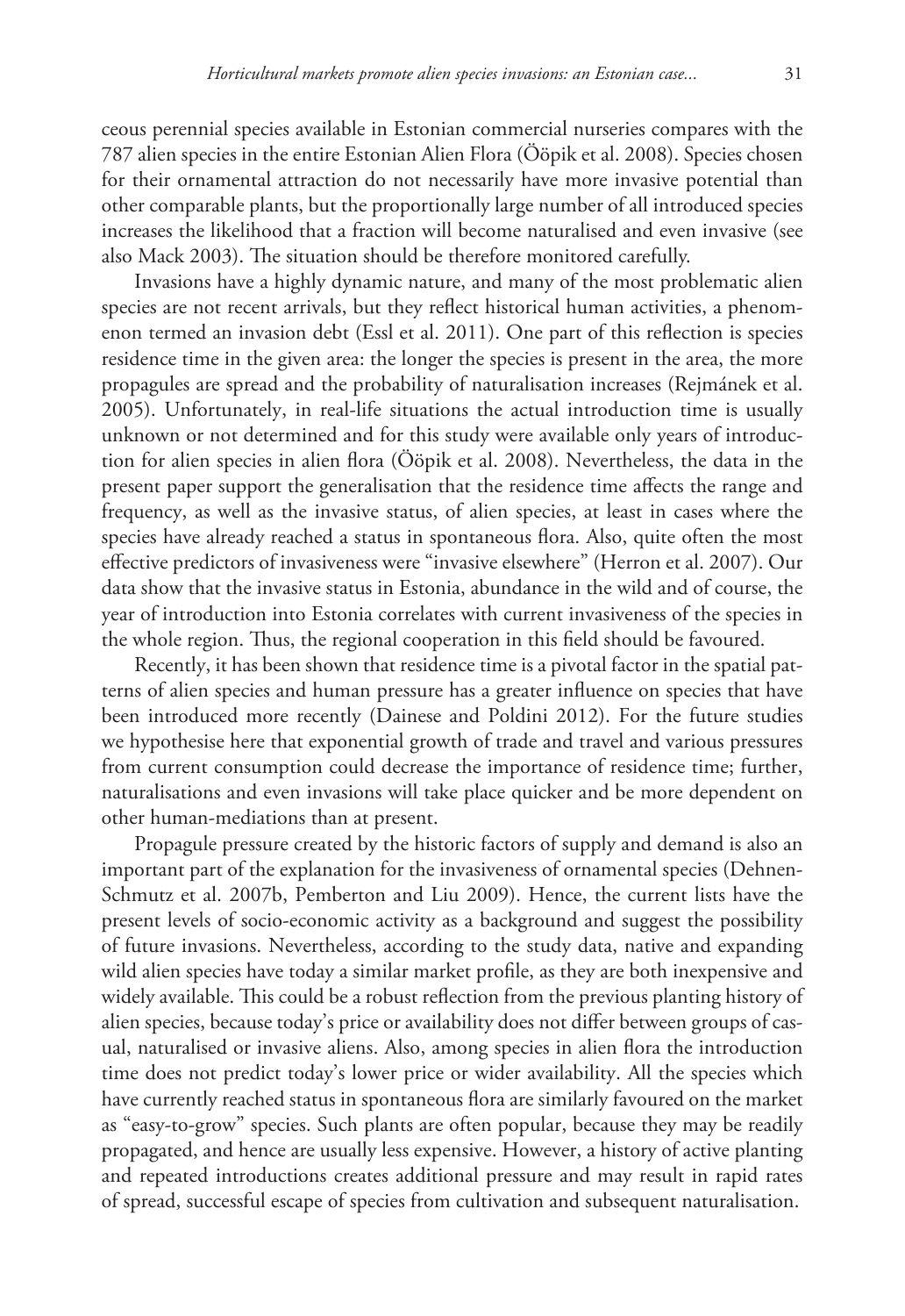ceous perennial species available in Estonian commercial nurseries compares with the 787 alien species in the entire Estonian Alien Flora (Ööpik et al. 2008). Species chosen for their ornamental attraction do not necessarily have more invasive potential than other comparable plants, but the proportionally large number of all introduced species increases the likelihood that a fraction will become naturalised and even invasive (see also Mack 2003). The situation should be therefore monitored carefully.

Invasions have a highly dynamic nature, and many of the most problematic alien species are not recent arrivals, but they reflect historical human activities, a phenomenon termed an invasion debt (Essl et al. 2011). One part of this reflection is species residence time in the given area: the longer the species is present in the area, the more propagules are spread and the probability of naturalisation increases (Rejmánek et al. 2005). Unfortunately, in real-life situations the actual introduction time is usually unknown or not determined and for this study were available only years of introduction for alien species in alien flora (Ööpik et al. 2008). Nevertheless, the data in the present paper support the generalisation that the residence time affects the range and frequency, as well as the invasive status, of alien species, at least in cases where the species have already reached a status in spontaneous flora. Also, quite often the most effective predictors of invasiveness were "invasive elsewhere" (Herron et al. 2007). Our data show that the invasive status in Estonia, abundance in the wild and of course, the year of introduction into Estonia correlates with current invasiveness of the species in the whole region. Thus, the regional cooperation in this field should be favoured.

Recently, it has been shown that residence time is a pivotal factor in the spatial patterns of alien species and human pressure has a greater influence on species that have been introduced more recently (Dainese and Poldini 2012). For the future studies we hypothesise here that exponential growth of trade and travel and various pressures from current consumption could decrease the importance of residence time; further, naturalisations and even invasions will take place quicker and be more dependent on other human-mediations than at present.

Propagule pressure created by the historic factors of supply and demand is also an important part of the explanation for the invasiveness of ornamental species (Dehnen-Schmutz et al. 2007b, Pemberton and Liu 2009). Hence, the current lists have the present levels of socio-economic activity as a background and suggest the possibility of future invasions. Nevertheless, according to the study data, native and expanding wild alien species have today a similar market profile, as they are both inexpensive and widely available. This could be a robust reflection from the previous planting history of alien species, because today's price or availability does not differ between groups of casual, naturalised or invasive aliens. Also, among species in alien flora the introduction time does not predict today's lower price or wider availability. All the species which have currently reached status in spontaneous flora are similarly favoured on the market as "easy-to-grow" species. Such plants are often popular, because they may be readily propagated, and hence are usually less expensive. However, a history of active planting and repeated introductions creates additional pressure and may result in rapid rates of spread, successful escape of species from cultivation and subsequent naturalisation.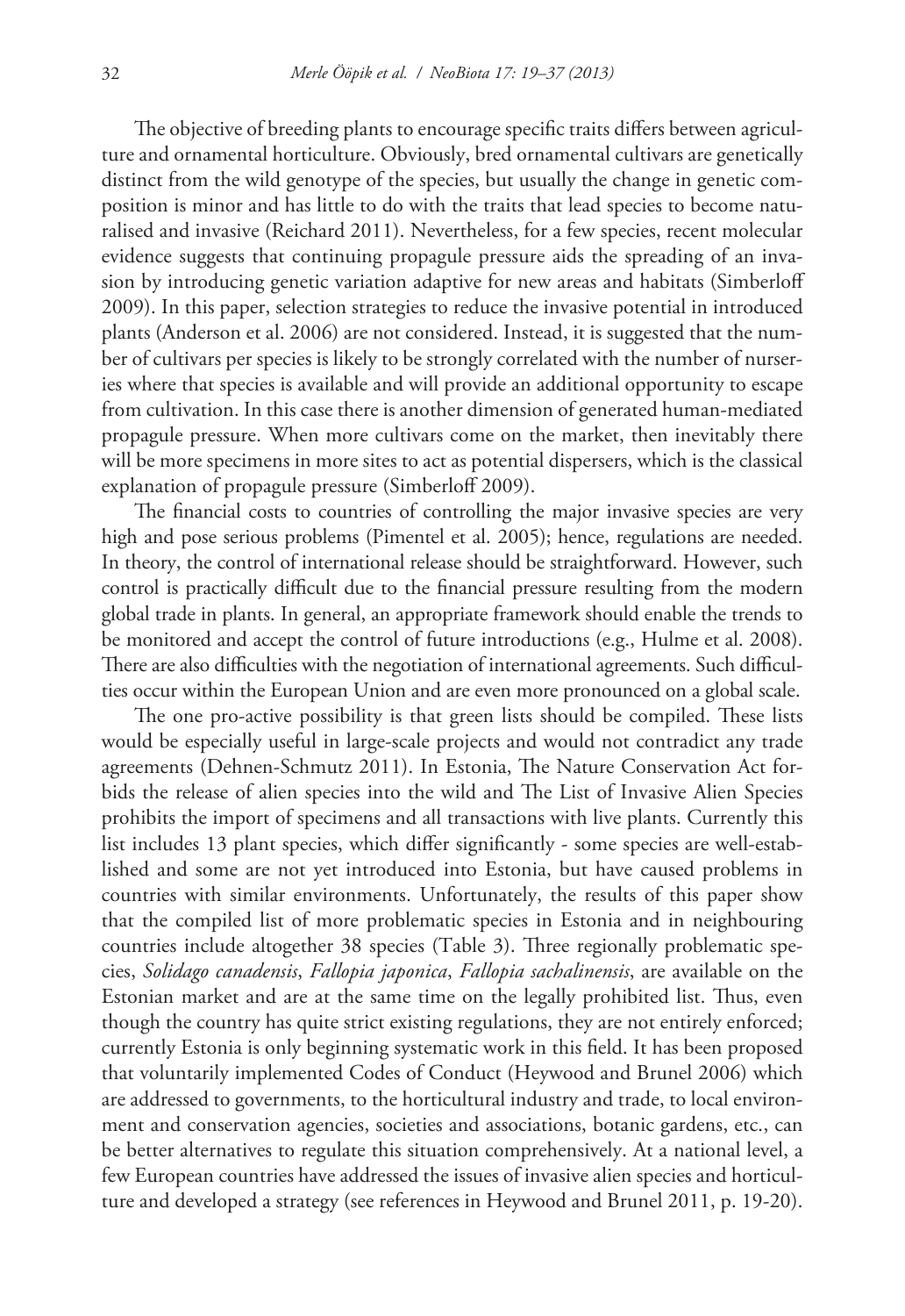The objective of breeding plants to encourage specific traits differs between agriculture and ornamental horticulture. Obviously, bred ornamental cultivars are genetically distinct from the wild genotype of the species, but usually the change in genetic composition is minor and has little to do with the traits that lead species to become naturalised and invasive (Reichard 2011). Nevertheless, for a few species, recent molecular evidence suggests that continuing propagule pressure aids the spreading of an invasion by introducing genetic variation adaptive for new areas and habitats (Simberloff 2009). In this paper, selection strategies to reduce the invasive potential in introduced plants (Anderson et al. 2006) are not considered. Instead, it is suggested that the number of cultivars per species is likely to be strongly correlated with the number of nurseries where that species is available and will provide an additional opportunity to escape from cultivation. In this case there is another dimension of generated human-mediated propagule pressure. When more cultivars come on the market, then inevitably there will be more specimens in more sites to act as potential dispersers, which is the classical explanation of propagule pressure (Simberloff 2009).

The financial costs to countries of controlling the major invasive species are very high and pose serious problems (Pimentel et al. 2005); hence, regulations are needed. In theory, the control of international release should be straightforward. However, such control is practically difficult due to the financial pressure resulting from the modern global trade in plants. In general, an appropriate framework should enable the trends to be monitored and accept the control of future introductions (e.g., Hulme et al. 2008). There are also difficulties with the negotiation of international agreements. Such difficulties occur within the European Union and are even more pronounced on a global scale.

The one pro-active possibility is that green lists should be compiled. These lists would be especially useful in large-scale projects and would not contradict any trade agreements (Dehnen-Schmutz 2011). In Estonia, The Nature Conservation Act forbids the release of alien species into the wild and The List of Invasive Alien Species prohibits the import of specimens and all transactions with live plants. Currently this list includes 13 plant species, which differ significantly - some species are well-established and some are not yet introduced into Estonia, but have caused problems in countries with similar environments. Unfortunately, the results of this paper show that the compiled list of more problematic species in Estonia and in neighbouring countries include altogether 38 species (Table 3). Three regionally problematic species, *Solidago canadensis*, *Fallopia japonica*, *Fallopia sachalinensis*, are available on the Estonian market and are at the same time on the legally prohibited list. Thus, even though the country has quite strict existing regulations, they are not entirely enforced; currently Estonia is only beginning systematic work in this field. It has been proposed that voluntarily implemented Codes of Conduct (Heywood and Brunel 2006) which are addressed to governments, to the horticultural industry and trade, to local environment and conservation agencies, societies and associations, botanic gardens, etc., can be better alternatives to regulate this situation comprehensively. At a national level, a few European countries have addressed the issues of invasive alien species and horticulture and developed a strategy (see references in Heywood and Brunel 2011, p. 19-20).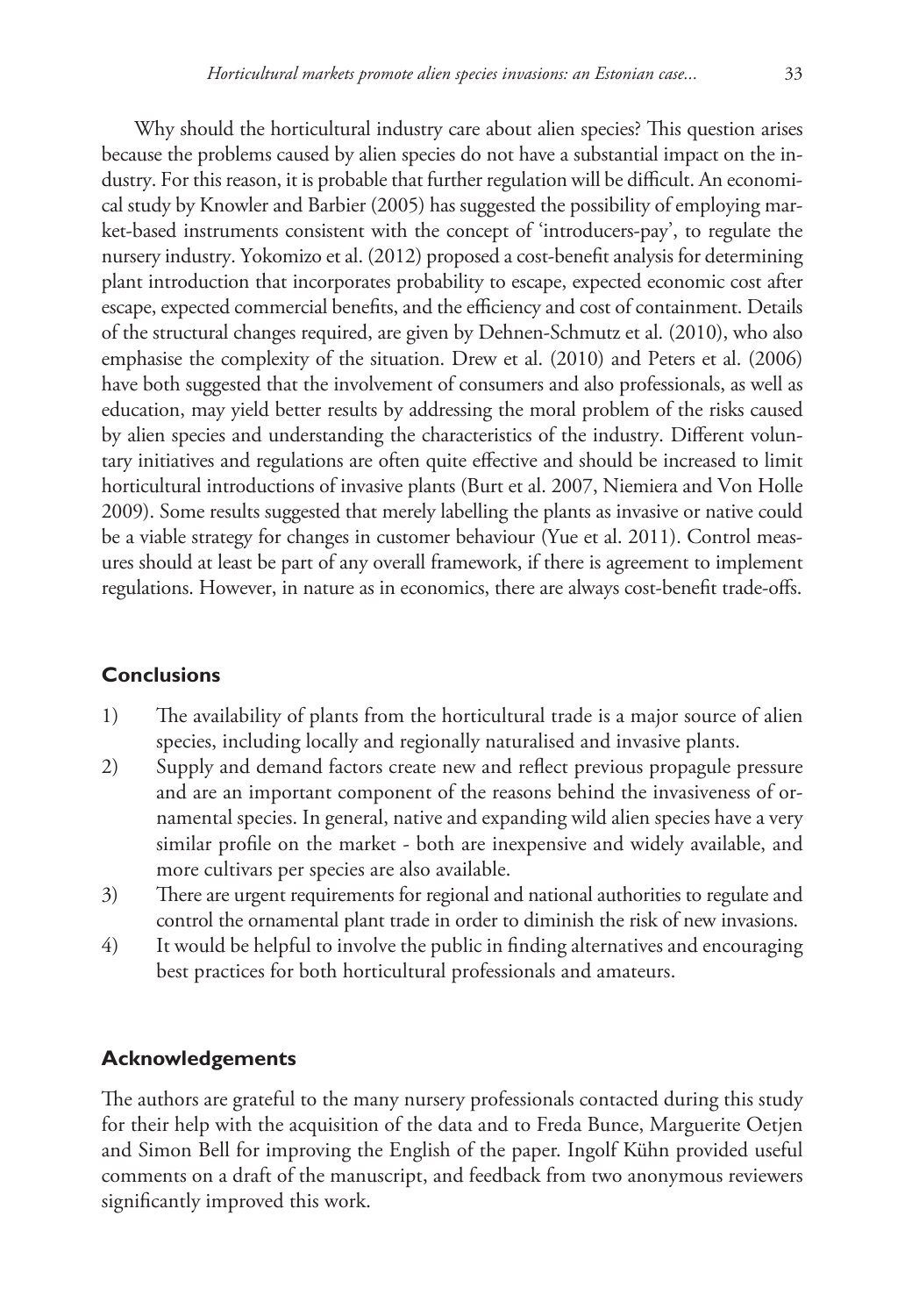Why should the horticultural industry care about alien species? This question arises because the problems caused by alien species do not have a substantial impact on the industry. For this reason, it is probable that further regulation will be difficult. An economical study by Knowler and Barbier (2005) has suggested the possibility of employing market-based instruments consistent with the concept of 'introducers-pay', to regulate the nursery industry. Yokomizo et al. (2012) proposed a cost-benefit analysis for determining plant introduction that incorporates probability to escape, expected economic cost after escape, expected commercial benefits, and the efficiency and cost of containment. Details of the structural changes required, are given by Dehnen-Schmutz et al. (2010), who also emphasise the complexity of the situation. Drew et al. (2010) and Peters et al. (2006) have both suggested that the involvement of consumers and also professionals, as well as education, may yield better results by addressing the moral problem of the risks caused by alien species and understanding the characteristics of the industry. Different voluntary initiatives and regulations are often quite effective and should be increased to limit horticultural introductions of invasive plants (Burt et al. 2007, Niemiera and Von Holle 2009). Some results suggested that merely labelling the plants as invasive or native could be a viable strategy for changes in customer behaviour (Yue et al. 2011). Control measures should at least be part of any overall framework, if there is agreement to implement regulations. However, in nature as in economics, there are always cost-benefit trade-offs.

# **Conclusions**

- 1) The availability of plants from the horticultural trade is a major source of alien species, including locally and regionally naturalised and invasive plants.
- 2) Supply and demand factors create new and reflect previous propagule pressure and are an important component of the reasons behind the invasiveness of ornamental species. In general, native and expanding wild alien species have a very similar profile on the market - both are inexpensive and widely available, and more cultivars per species are also available.
- 3) There are urgent requirements for regional and national authorities to regulate and control the ornamental plant trade in order to diminish the risk of new invasions.
- 4) It would be helpful to involve the public in finding alternatives and encouraging best practices for both horticultural professionals and amateurs.

# **Acknowledgements**

The authors are grateful to the many nursery professionals contacted during this study for their help with the acquisition of the data and to Freda Bunce, Marguerite Oetjen and Simon Bell for improving the English of the paper. Ingolf Kühn provided useful comments on a draft of the manuscript, and feedback from two anonymous reviewers significantly improved this work.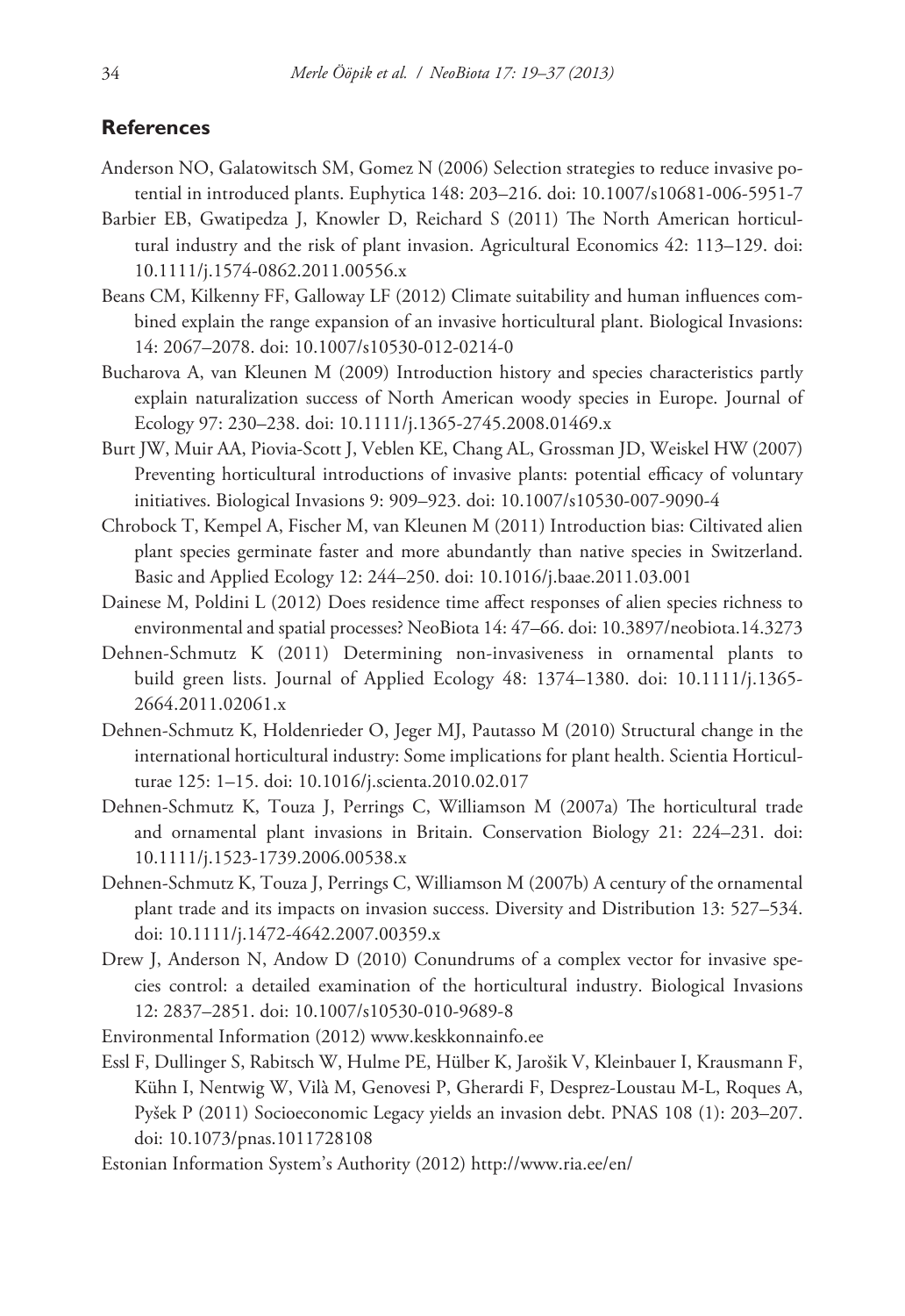#### **References**

- Anderson NO, Galatowitsch SM, Gomez N (2006) Selection strategies to reduce invasive potential in introduced plants. Euphytica 148: 203–216. [doi: 10.1007/s10681-006-5951-7](http://dx.doi.org/10.1007/s10681-006-5951-7)
- Barbier EB, Gwatipedza J, Knowler D, Reichard S (2011) The North American horticultural industry and the risk of plant invasion. Agricultural Economics 42: 113–129. [doi:](http://dx.doi.org/10.1111/j.1574-0862.2011.00556.x) [10.1111/j.1574-0862.2011.00556.x](http://dx.doi.org/10.1111/j.1574-0862.2011.00556.x)
- Beans CM, Kilkenny FF, Galloway LF (2012) Climate suitability and human influences combined explain the range expansion of an invasive horticultural plant. Biological Invasions: 14: 2067–2078. [doi: 10.1007/s10530-012-0214-0](http://dx.doi.org/10.1007/s10530-012-0214-0)
- Bucharova A, van Kleunen M (2009) Introduction history and species characteristics partly explain naturalization success of North American woody species in Europe. Journal of Ecology 97: 230–238. [doi: 10.1111/j.1365-2745.2008.01469.x](http://dx.doi.org/10.1111/j.1365-2745.2008.01469.x)
- Burt JW, Muir AA, Piovia-Scott J, Veblen KE, Chang AL, Grossman JD, Weiskel HW (2007) Preventing horticultural introductions of invasive plants: potential efficacy of voluntary initiatives. Biological Invasions 9: 909–923. [doi: 10.1007/s10530-007-9090-4](http://dx.doi.org/10.1007/s10530-007-9090-4)
- Chrobock T, Kempel A, Fischer M, van Kleunen M (2011) Introduction bias: Ciltivated alien plant species germinate faster and more abundantly than native species in Switzerland. Basic and Applied Ecology 12: 244–250. [doi: 10.1016/j.baae.2011.03.001](http://dx.doi.org/10.1016/j.baae.2011.03.001)
- Dainese M, Poldini L (2012) Does residence time affect responses of alien species richness to environmental and spatial processes? NeoBiota 14: 47–66. [doi: 10.3897/neobiota.14.3273](http://dx.doi.org/10.3897/neobiota.14.3273)
- Dehnen-Schmutz K (2011) Determining non-invasiveness in ornamental plants to build green lists. Journal of Applied Ecology 48: 1374–1380. [doi: 10.1111/j.1365-](http://dx.doi.org/10.1111/j.1365-2664.2011.02061.x) [2664.2011.02061.x](http://dx.doi.org/10.1111/j.1365-2664.2011.02061.x)
- Dehnen-Schmutz K, Holdenrieder O, Jeger MJ, Pautasso M (2010) Structural change in the international horticultural industry: Some implications for plant health. Scientia Horticulturae 125: 1–15. [doi: 10.1016/j.scienta.2010.02.017](http://dx.doi.org/10.1016/j.scienta.2010.02.017)
- Dehnen-Schmutz K, Touza J, Perrings C, Williamson M (2007a) The horticultural trade and ornamental plant invasions in Britain. Conservation Biology 21: 224–231. [doi:](http://dx.doi.org/10.1111/j.1523-1739.2006.00538.x) [10.1111/j.1523-1739.2006.00538.x](http://dx.doi.org/10.1111/j.1523-1739.2006.00538.x)
- Dehnen-Schmutz K, Touza J, Perrings C, Williamson M (2007b) A century of the ornamental plant trade and its impacts on invasion success. Diversity and Distribution 13: 527–534. [doi: 10.1111/j.1472-4642.2007.00359.x](http://dx.doi.org/10.1111/j.1472-4642.2007.00359.x)
- Drew J, Anderson N, Andow D (2010) Conundrums of a complex vector for invasive species control: a detailed examination of the horticultural industry. Biological Invasions 12: 2837–2851. [doi: 10.1007/s10530-010-9689-8](http://dx.doi.org/10.1007/s10530-010-9689-8)

Environmental Information (2012) <www.keskkonnainfo.ee>

- Essl F, Dullinger S, Rabitsch W, Hulme PE, Hülber K, Jarošik V, Kleinbauer I, Krausmann F, Kühn I, Nentwig W, Vilà M, Genovesi P, Gherardi F, Desprez-Loustau M-L, Roques A, Pyšek P (2011) Socioeconomic Legacy yields an invasion debt. PNAS 108 (1): 203–207. [doi: 10.1073/pnas.1011728108](http://dx.doi.org/10.1073/pnas.1011728108)
- Estonian Information System's Authority (2012) <http://www.ria.ee/en>/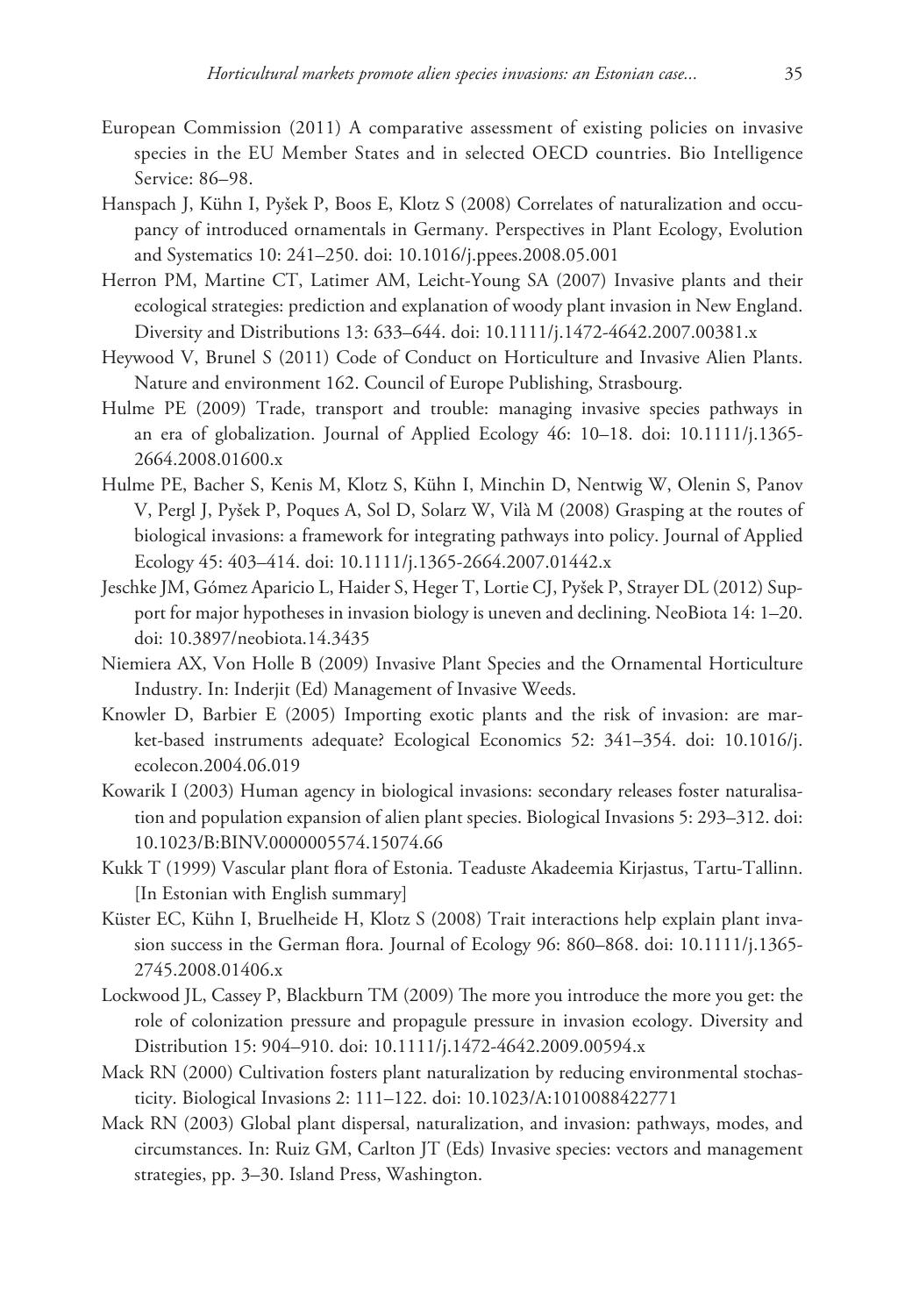- European Commission (2011) A comparative assessment of existing policies on invasive species in the EU Member States and in selected OECD countries. Bio Intelligence Service: 86–98.
- Hanspach J, Kühn I, Pyšek P, Boos E, Klotz S (2008) Correlates of naturalization and occupancy of introduced ornamentals in Germany. Perspectives in Plant Ecology, Evolution and Systematics 10: 241–250. [doi: 10.1016/j.ppees.2008.05.001](http://dx.doi.org/10.1016/j.ppees.2008.05.001)
- Herron PM, Martine CT, Latimer AM, Leicht-Young SA (2007) Invasive plants and their ecological strategies: prediction and explanation of woody plant invasion in New England. Diversity and Distributions 13: 633–644. [doi: 10.1111/j.1472-4642.2007.00381.x](http://dx.doi.org/10.1111/j.1472-4642.2007.00381.x)
- Heywood V, Brunel S (2011) Code of Conduct on Horticulture and Invasive Alien Plants. Nature and environment 162. Council of Europe Publishing, Strasbourg.
- Hulme PE (2009) Trade, transport and trouble: managing invasive species pathways in an era of globalization. Journal of Applied Ecology 46: 10–18. [doi: 10.1111/j.1365-](http://dx.doi.org/10.1111/j.1365-2664.2008.01600.x) [2664.2008.01600.x](http://dx.doi.org/10.1111/j.1365-2664.2008.01600.x)
- Hulme PE, Bacher S, Kenis M, Klotz S, Kühn I, Minchin D, Nentwig W, Olenin S, Panov V, Pergl J, Pyšek P, Poques A, Sol D, Solarz W, Vilà M (2008) Grasping at the routes of biological invasions: a framework for integrating pathways into policy. Journal of Applied Ecology 45: 403–414. [doi: 10.1111/j.1365-2664.2007.01442.x](http://dx.doi.org/10.1111/j.1365-2664.2007.01442.x)
- Jeschke JM, Gómez Aparicio L, Haider S, Heger T, Lortie CJ, Pyšek P, Strayer DL (2012) Support for major hypotheses in invasion biology is uneven and declining. NeoBiota 14: 1–20. [doi: 10.3897/neobiota.14.3435](http://dx.doi.org/10.3897/neobiota.14.3435)
- Niemiera AX, Von Holle B (2009) Invasive Plant Species and the Ornamental Horticulture Industry. In: Inderjit (Ed) Management of Invasive Weeds.
- Knowler D, Barbier E (2005) Importing exotic plants and the risk of invasion: are market-based instruments adequate? Ecological Economics 52: 341–354. [doi: 10.1016/j.](http://dx.doi.org/10.1016/j.ecolecon.2004.06.019) [ecolecon.2004.06.019](http://dx.doi.org/10.1016/j.ecolecon.2004.06.019)
- Kowarik I (2003) Human agency in biological invasions: secondary releases foster naturalisation and population expansion of alien plant species. Biological Invasions 5: 293–312. [doi:](http://dx.doi.org/10.1023/B:BINV.0000005574.15074.66) [10.1023/B:BINV.0000005574.15074.66](http://dx.doi.org/10.1023/B:BINV.0000005574.15074.66)
- Kukk T (1999) Vascular plant flora of Estonia. Teaduste Akadeemia Kirjastus, Tartu-Tallinn. [In Estonian with English summary]
- Küster EC, Kühn I, Bruelheide H, Klotz S (2008) Trait interactions help explain plant invasion success in the German flora. Journal of Ecology 96: 860–868. [doi: 10.1111/j.1365-](http://dx.doi.org/10.1111/j.1365-2745.2008.01406.x) [2745.2008.01406.x](http://dx.doi.org/10.1111/j.1365-2745.2008.01406.x)
- Lockwood JL, Cassey P, Blackburn TM (2009) The more you introduce the more you get: the role of colonization pressure and propagule pressure in invasion ecology. Diversity and Distribution 15: 904–910. [doi: 10.1111/j.1472-4642.2009.00594.x](http://dx.doi.org/10.1111/j.1472-4642.2009.00594.x)
- Mack RN (2000) Cultivation fosters plant naturalization by reducing environmental stochasticity. Biological Invasions 2: 111–122. [doi: 10.1023/A:1010088422771](http://dx.doi.org/10.1023/A:1010088422771)
- Mack RN (2003) Global plant dispersal, naturalization, and invasion: pathways, modes, and circumstances. In: Ruiz GM, Carlton JT (Eds) Invasive species: vectors and management strategies, pp. 3–30. Island Press, Washington.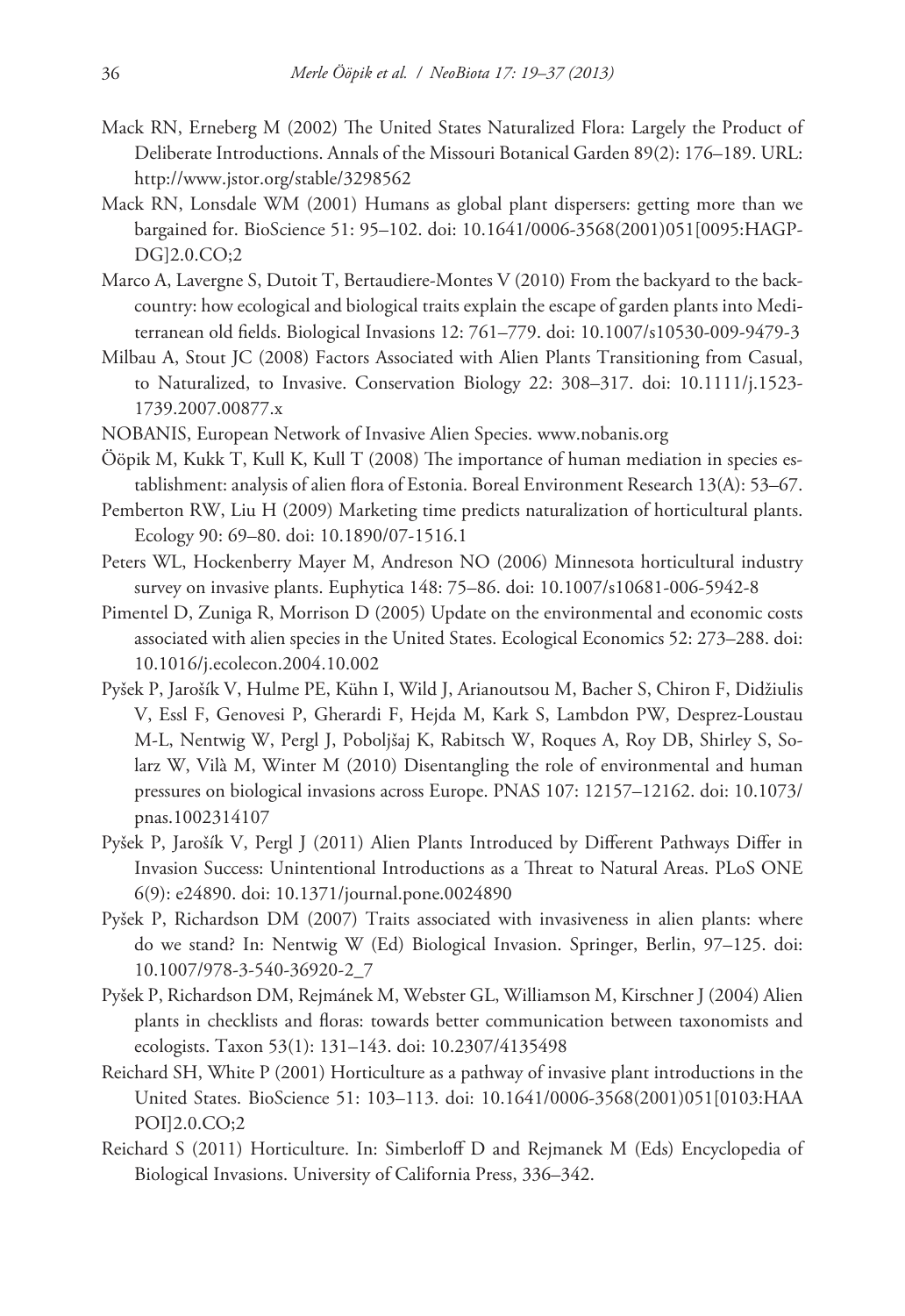- Mack RN, Erneberg M (2002) The United States Naturalized Flora: Largely the Product of Deliberate Introductions. Annals of the Missouri Botanical Garden 89(2): 176–189. URL: <http://www.jstor.org/stable/3298562>
- Mack RN, Lonsdale WM (2001) Humans as global plant dispersers: getting more than we bargained for. BioScience 51: 95–102. [doi: 10.1641/0006-3568\(2001\)051\[0095:HAGP-](http://dx.doi.org/10.1641/0006-3568(2001)051[0095:HAGPDG]2.0.CO;2)[DG\]2.0.CO;2](http://dx.doi.org/10.1641/0006-3568(2001)051[0095:HAGPDG]2.0.CO;2)
- Marco A, Lavergne S, Dutoit T, Bertaudiere-Montes V (2010) From the backyard to the backcountry: how ecological and biological traits explain the escape of garden plants into Mediterranean old fields. Biological Invasions 12: 761–779. [doi: 10.1007/s10530-009-9479-3](http://dx.doi.org/10.1007/s10530-009-9479-3)
- Milbau A, Stout JC (2008) Factors Associated with Alien Plants Transitioning from Casual, to Naturalized, to Invasive. Conservation Biology 22: 308–317. [doi: 10.1111/j.1523-](http://dx.doi.org/10.1111/j.1523-1739.2007.00877.x) [1739.2007.00877.x](http://dx.doi.org/10.1111/j.1523-1739.2007.00877.x)
- NOBANIS, European Network of Invasive Alien Species.<www.nobanis.org>
- Ööpik M, Kukk T, Kull K, Kull T (2008) The importance of human mediation in species establishment: analysis of alien flora of Estonia. Boreal Environment Research 13(A): 53–67.
- Pemberton RW, Liu H (2009) Marketing time predicts naturalization of horticultural plants. Ecology 90: 69–80. [doi: 10.1890/07-1516.1](http://dx.doi.org/10.1890/07-1516.1)
- Peters WL, Hockenberry Mayer M, Andreson NO (2006) Minnesota horticultural industry survey on invasive plants. Euphytica 148: 75–86. [doi: 10.1007/s10681-006-5942-8](http://dx.doi.org/10.1007/s10681-006-5942-8)
- Pimentel D, Zuniga R, Morrison D (2005) Update on the environmental and economic costs associated with alien species in the United States. Ecological Economics 52: 273–288. [doi:](http://dx.doi.org/10.1016/j.ecolecon.2004.10.002) [10.1016/j.ecolecon.2004.10.002](http://dx.doi.org/10.1016/j.ecolecon.2004.10.002)
- Pyšek P, Jarošík V, Hulme PE, Kühn I, Wild J, Arianoutsou M, Bacher S, Chiron F, Didžiulis V, Essl F, Genovesi P, Gherardi F, Hejda M, Kark S, Lambdon PW, Desprez-Loustau M-L, Nentwig W, Pergl J, Poboljšaj K, Rabitsch W, Roques A, Roy DB, Shirley S, Solarz W, Vilà M, Winter M (2010) Disentangling the role of environmental and human pressures on biological invasions across Europe. PNAS 107: 12157–12162. [doi: 10.1073/](http://dx.doi.org/10.1073/pnas.1002314107) [pnas.1002314107](http://dx.doi.org/10.1073/pnas.1002314107)
- Pyšek P, Jarošík V, Pergl J (2011) Alien Plants Introduced by Different Pathways Differ in Invasion Success: Unintentional Introductions as a Threat to Natural Areas. PLoS ONE 6(9): e24890. [doi: 10.1371/journal.pone.0024890](http://dx.doi.org/10.1371/journal.pone.0024890)
- Pyšek P, Richardson DM (2007) Traits associated with invasiveness in alien plants: where do we stand? In: Nentwig W (Ed) Biological Invasion. Springer, Berlin, 97–125. [doi:](http://dx.doi.org/10.1007/978-3-540-36920-2_7) [10.1007/978-3-540-36920-2\\_7](http://dx.doi.org/10.1007/978-3-540-36920-2_7)
- Pyšek P, Richardson DM, Rejmánek M, Webster GL, Williamson M, Kirschner J (2004) Alien plants in checklists and floras: towards better communication between taxonomists and ecologists. Taxon 53(1): 131–143. [doi: 10.2307/4135498](http://dx.doi.org/10.2307/4135498)
- Reichard SH, White P (2001) Horticulture as a pathway of invasive plant introductions in the United States. BioScience 51: 103–113. [doi: 10.1641/0006-3568\(2001\)051\[0103:HAA](http://dx.doi.org/10.1641/0006-3568(2001)051[0103:HAAPOI]2.0.CO;2) [POI\]2.0.CO;2](http://dx.doi.org/10.1641/0006-3568(2001)051[0103:HAAPOI]2.0.CO;2)
- Reichard S (2011) Horticulture. In: Simberloff D and Rejmanek M (Eds) Encyclopedia of Biological Invasions. University of California Press, 336–342.